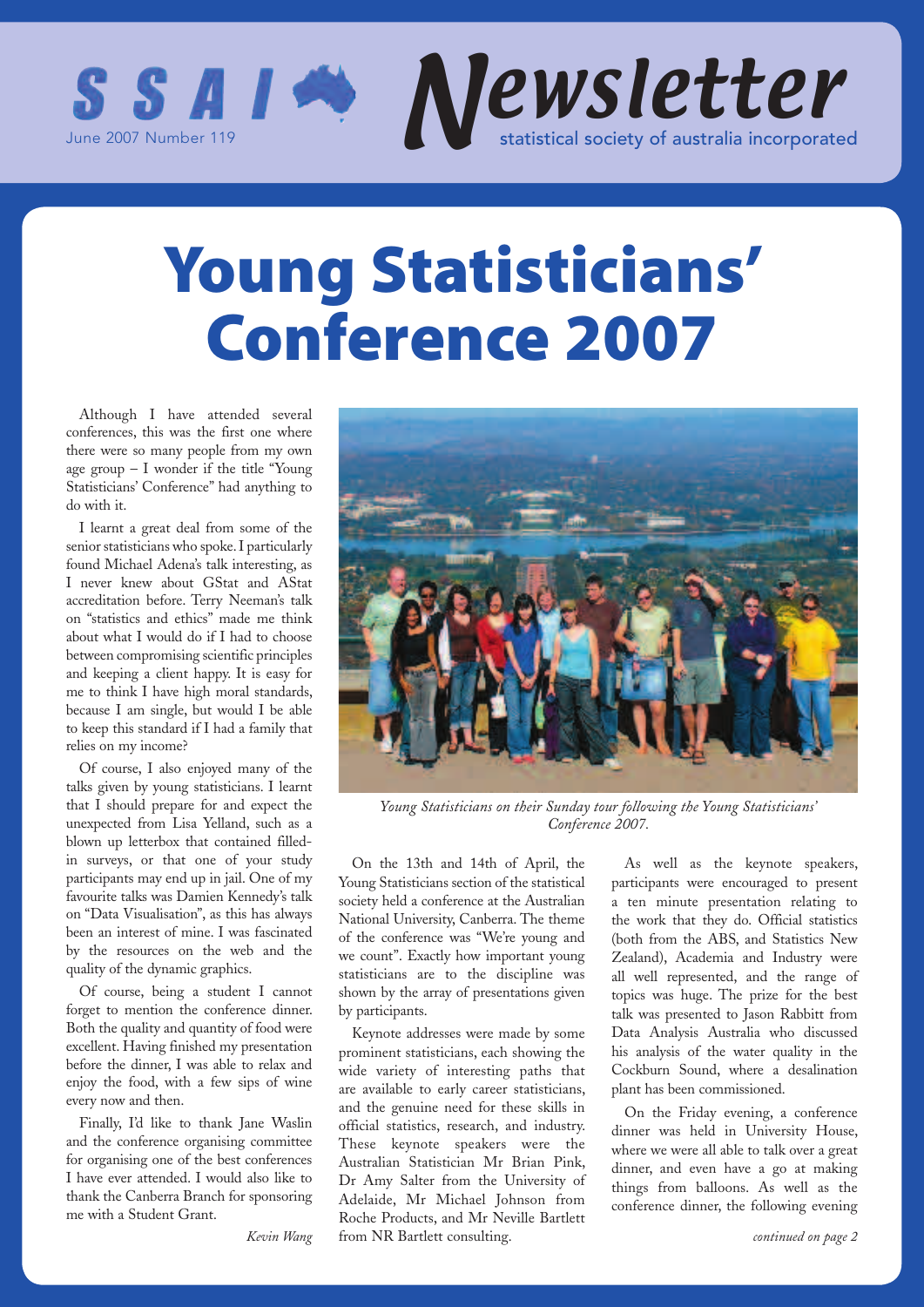

## **Young Statisticians' Conference 2007**

Although I have attended several conferences, this was the first one where there were so many people from my own age group – I wonder if the title "Young Statisticians' Conference" had anything to do with it.

I learnt a great deal from some of the senior statisticians who spoke. I particularly found Michael Adena's talk interesting, as I never knew about GStat and AStat accreditation before. Terry Neeman's talk on "statistics and ethics" made me think about what I would do if I had to choose between compromising scientific principles and keeping a client happy. It is easy for me to think I have high moral standards, because I am single, but would I be able to keep this standard if I had a family that relies on my income?

Of course, I also enjoyed many of the talks given by young statisticians. I learnt that I should prepare for and expect the unexpected from Lisa Yelland, such as a blown up letterbox that contained filledin surveys, or that one of your study participants may end up in jail. One of my favourite talks was Damien Kennedy's talk on "Data Visualisation", as this has always been an interest of mine. I was fascinated by the resources on the web and the quality of the dynamic graphics.

Of course, being a student I cannot forget to mention the conference dinner. Both the quality and quantity of food were excellent. Having finished my presentation before the dinner, I was able to relax and enjoy the food, with a few sips of wine every now and then.

Finally, I'd like to thank Jane Waslin and the conference organising committee for organising one of the best conferences I have ever attended. I would also like to thank the Canberra Branch for sponsoring me with a Student Grant.



*Young Statisticians on their Sunday tour following the Young Statisticians' Conference 2007.*

On the 13th and 14th of April, the Young Statisticians section of the statistical society held a conference at the Australian National University, Canberra. The theme of the conference was "We're young and we count". Exactly how important young statisticians are to the discipline was shown by the array of presentations given by participants.

Keynote addresses were made by some prominent statisticians, each showing the wide variety of interesting paths that are available to early career statisticians, and the genuine need for these skills in official statistics, research, and industry. These keynote speakers were the Australian Statistician Mr Brian Pink, Dr Amy Salter from the University of Adelaide, Mr Michael Johnson from Roche Products, and Mr Neville Bartlett from NR Bartlett consulting.

As well as the keynote speakers, participants were encouraged to present a ten minute presentation relating to the work that they do. Official statistics (both from the ABS, and Statistics New Zealand), Academia and Industry were all well represented, and the range of topics was huge. The prize for the best talk was presented to Jason Rabbitt from Data Analysis Australia who discussed his analysis of the water quality in the Cockburn Sound, where a desalination plant has been commissioned.

On the Friday evening, a conference dinner was held in University House, where we were all able to talk over a great dinner, and even have a go at making things from balloons. As well as the conference dinner, the following evening

*Kevin Wang*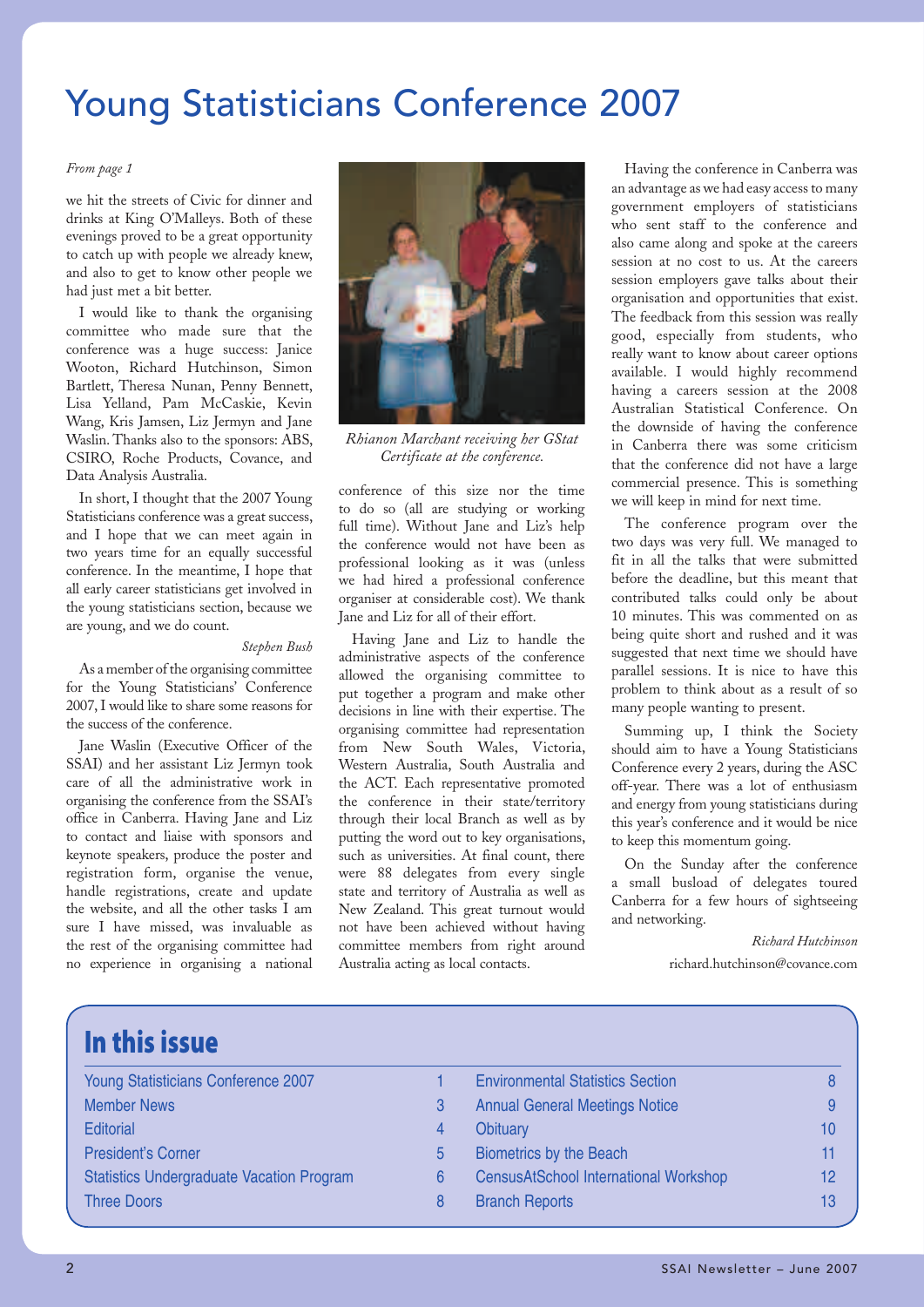## Young Statisticians Conference 2007

#### *From page 1*

we hit the streets of Civic for dinner and drinks at King O'Malleys. Both of these evenings proved to be a great opportunity to catch up with people we already knew, and also to get to know other people we had just met a bit better.

I would like to thank the organising committee who made sure that the conference was a huge success: Janice Wooton, Richard Hutchinson, Simon Bartlett, Theresa Nunan, Penny Bennett, Lisa Yelland, Pam McCaskie, Kevin Wang, Kris Jamsen, Liz Jermyn and Jane Waslin. Thanks also to the sponsors: ABS, CSIRO, Roche Products, Covance, and Data Analysis Australia.

In short, I thought that the 2007 Young Statisticians conference was a great success, and I hope that we can meet again in two years time for an equally successful conference. In the meantime, I hope that all early career statisticians get involved in the young statisticians section, because we are young, and we do count.

#### *Stephen Bush*

As a member of the organising committee for the Young Statisticians' Conference 2007, I would like to share some reasons for the success of the conference.

Jane Waslin (Executive Officer of the SSAI) and her assistant Liz Jermyn took care of all the administrative work in organising the conference from the SSAI's office in Canberra. Having Jane and Liz to contact and liaise with sponsors and keynote speakers, produce the poster and registration form, organise the venue, handle registrations, create and update the website, and all the other tasks I am sure I have missed, was invaluable as the rest of the organising committee had no experience in organising a national



*Rhianon Marchant receiving her GStat Certificate at the conference.*

conference of this size nor the time to do so (all are studying or working full time). Without Jane and Liz's help the conference would not have been as professional looking as it was (unless we had hired a professional conference organiser at considerable cost). We thank Jane and Liz for all of their effort.

Having Jane and Liz to handle the administrative aspects of the conference allowed the organising committee to put together a program and make other decisions in line with their expertise. The organising committee had representation from New South Wales, Victoria, Western Australia, South Australia and the ACT. Each representative promoted the conference in their state/territory through their local Branch as well as by putting the word out to key organisations, such as universities. At final count, there were 88 delegates from every single state and territory of Australia as well as New Zealand. This great turnout would not have been achieved without having committee members from right around Australia acting as local contacts.

Having the conference in Canberra was an advantage as we had easy access to many government employers of statisticians who sent staff to the conference and also came along and spoke at the careers session at no cost to us. At the careers session employers gave talks about their organisation and opportunities that exist. The feedback from this session was really good, especially from students, who really want to know about career options available. I would highly recommend having a careers session at the 2008 Australian Statistical Conference. On the downside of having the conference in Canberra there was some criticism that the conference did not have a large commercial presence. This is something we will keep in mind for next time.

The conference program over the two days was very full. We managed to fit in all the talks that were submitted before the deadline, but this meant that contributed talks could only be about 10 minutes. This was commented on as being quite short and rushed and it was suggested that next time we should have parallel sessions. It is nice to have this problem to think about as a result of so many people wanting to present.

Summing up, I think the Society should aim to have a Young Statisticians Conference every 2 years, during the ASC off-year. There was a lot of enthusiasm and energy from young statisticians during this year's conference and it would be nice to keep this momentum going.

On the Sunday after the conference a small busload of delegates toured Canberra for a few hours of sightseeing and networking.

> *Richard Hutchinson* richard.hutchinson@covance.com

| In this issue                                    |    |                                              |    |
|--------------------------------------------------|----|----------------------------------------------|----|
| <b>Young Statisticians Conference 2007</b>       |    | <b>Environmental Statistics Section</b>      | 8  |
| <b>Member News</b>                               | 3  | <b>Annual General Meetings Notice</b>        | 9  |
| <b>Editorial</b>                                 | 4  | Obituary                                     | 10 |
| <b>President's Corner</b>                        | 5. | <b>Biometrics by the Beach</b>               | 11 |
| <b>Statistics Undergraduate Vacation Program</b> | 6  | <b>CensusAtSchool International Workshop</b> | 12 |
| <b>Three Doors</b>                               | 8  | <b>Branch Reports</b>                        | 13 |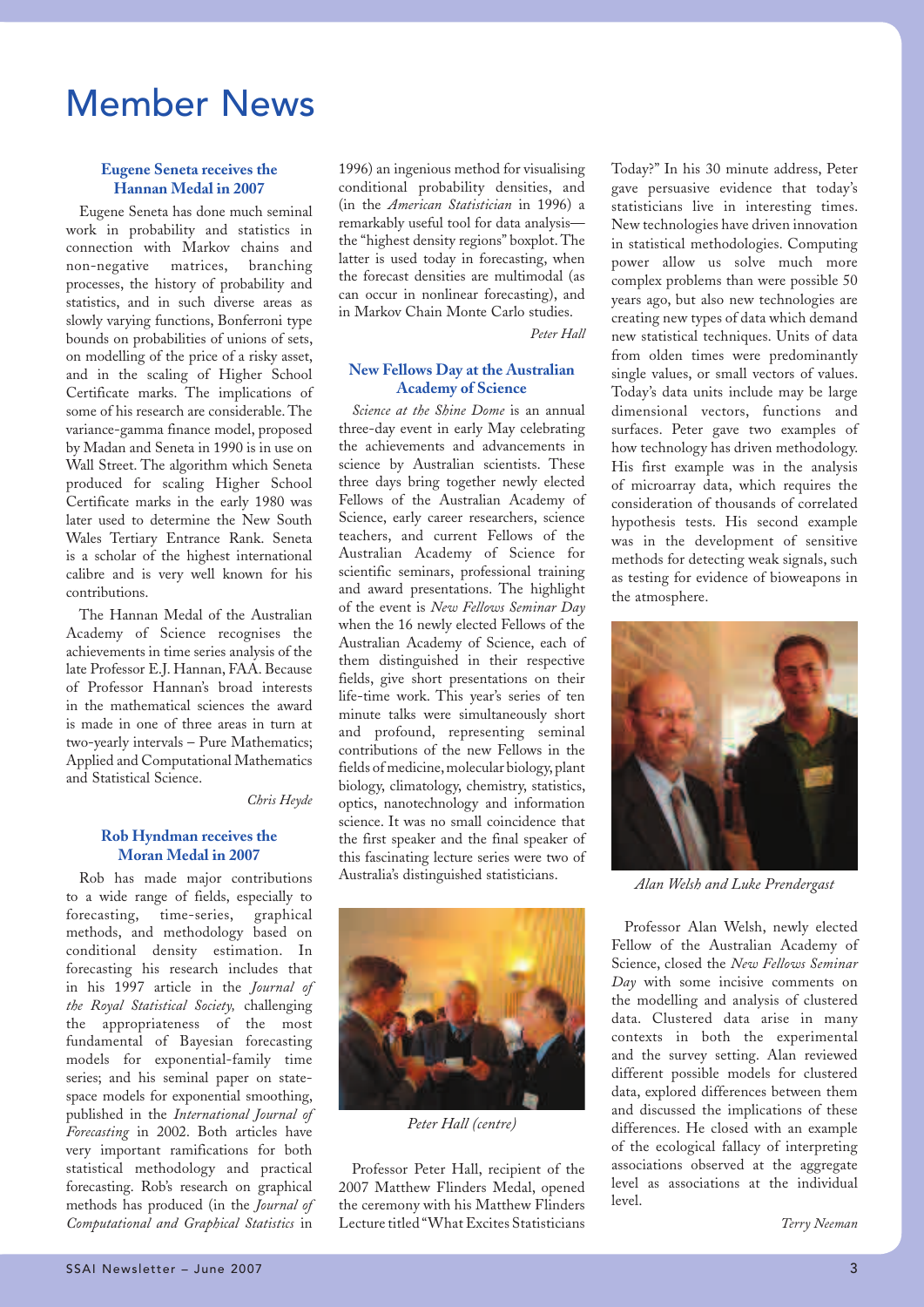## Member News

#### **Eugene Seneta receives the Hannan Medal in 2007**

Eugene Seneta has done much seminal work in probability and statistics in connection with Markov chains and non-negative matrices, branching processes, the history of probability and statistics, and in such diverse areas as slowly varying functions, Bonferroni type bounds on probabilities of unions of sets, on modelling of the price of a risky asset, and in the scaling of Higher School Certificate marks. The implications of some of his research are considerable. The variance-gamma finance model, proposed by Madan and Seneta in 1990 is in use on Wall Street. The algorithm which Seneta produced for scaling Higher School Certificate marks in the early 1980 was later used to determine the New South Wales Tertiary Entrance Rank. Seneta is a scholar of the highest international calibre and is very well known for his contributions.

The Hannan Medal of the Australian Academy of Science recognises the achievements in time series analysis of the late Professor E.J. Hannan, FAA. Because of Professor Hannan's broad interests in the mathematical sciences the award is made in one of three areas in turn at two-yearly intervals – Pure Mathematics; Applied and Computational Mathematics and Statistical Science.

*Chris Heyde*

#### **Rob Hyndman receives the Moran Medal in 2007**

Rob has made major contributions to a wide range of fields, especially to forecasting, time-series, graphical methods, and methodology based on conditional density estimation. In forecasting his research includes that in his 1997 article in the *Journal of the Royal Statistical Society,* challenging the appropriateness of the most fundamental of Bayesian forecasting models for exponential-family time series; and his seminal paper on statespace models for exponential smoothing, published in the *International Journal of Forecasting* in 2002. Both articles have very important ramifications for both statistical methodology and practical forecasting. Rob's research on graphical methods has produced (in the *Journal of Computational and Graphical Statistics* in

1996) an ingenious method for visualising conditional probability densities, and (in the *American Statistician* in 1996) a remarkably useful tool for data analysis the "highest density regions'' boxplot. The latter is used today in forecasting, when the forecast densities are multimodal (as can occur in nonlinear forecasting), and in Markov Chain Monte Carlo studies.

*Peter Hall*

#### **New Fellows Day at the Australian Academy of Science**

*Science at the Shine Dome* is an annual three-day event in early May celebrating the achievements and advancements in science by Australian scientists. These three days bring together newly elected Fellows of the Australian Academy of Science, early career researchers, science teachers, and current Fellows of the Australian Academy of Science for scientific seminars, professional training and award presentations. The highlight of the event is *New Fellows Seminar Day*  when the 16 newly elected Fellows of the Australian Academy of Science, each of them distinguished in their respective fields, give short presentations on their life-time work. This year's series of ten minute talks were simultaneously short and profound, representing seminal contributions of the new Fellows in the fields of medicine, molecular biology, plant biology, climatology, chemistry, statistics, optics, nanotechnology and information science. It was no small coincidence that the first speaker and the final speaker of this fascinating lecture series were two of Australia's distinguished statisticians. *Alan Welsh and Luke Prendergast*



*Peter Hall (centre)*

Professor Peter Hall, recipient of the 2007 Matthew Flinders Medal, opened the ceremony with his Matthew Flinders Lecture titled "What Excites Statisticians Today?" In his 30 minute address, Peter gave persuasive evidence that today's statisticians live in interesting times. New technologies have driven innovation in statistical methodologies. Computing power allow us solve much more complex problems than were possible 50 years ago, but also new technologies are creating new types of data which demand new statistical techniques. Units of data from olden times were predominantly single values, or small vectors of values. Today's data units include may be large dimensional vectors, functions and surfaces. Peter gave two examples of how technology has driven methodology. His first example was in the analysis of microarray data, which requires the consideration of thousands of correlated hypothesis tests. His second example was in the development of sensitive methods for detecting weak signals, such as testing for evidence of bioweapons in the atmosphere.



Professor Alan Welsh, newly elected Fellow of the Australian Academy of Science, closed the *New Fellows Seminar Day* with some incisive comments on the modelling and analysis of clustered data. Clustered data arise in many contexts in both the experimental and the survey setting. Alan reviewed different possible models for clustered data, explored differences between them and discussed the implications of these differences. He closed with an example of the ecological fallacy of interpreting associations observed at the aggregate level as associations at the individual level.

*Terry Neeman*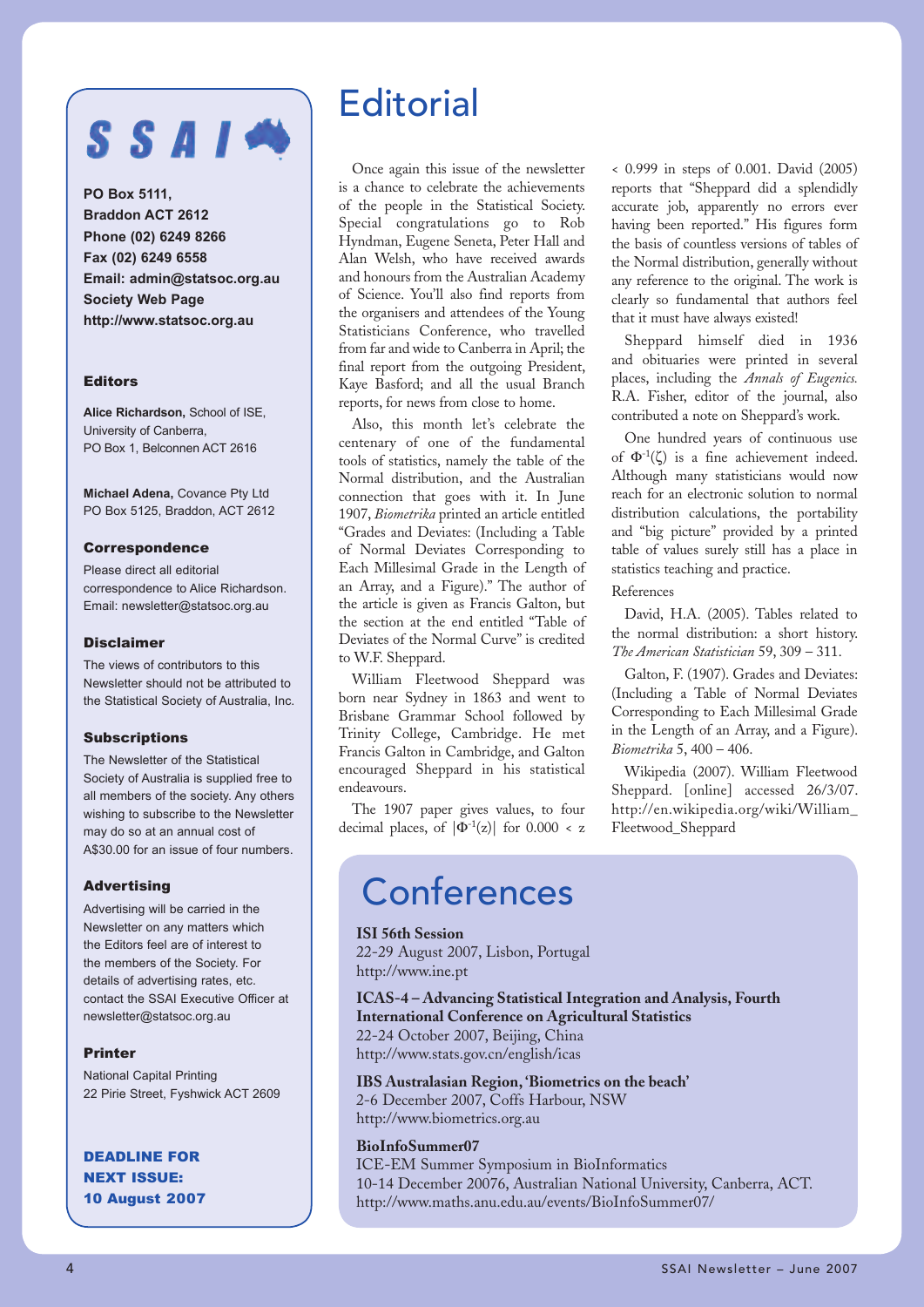## $S S A I$

**PO Box 5111, Braddon ACT 2612 Phone (02) 6249 8266 Fax (02) 6249 6558 Email: admin@statsoc.org.au Society Web Page http://www.statsoc.org.au**

#### Editors

**Alice Richardson,** School of ISE, University of Canberra, PO Box 1, Belconnen ACT 2616

**Michael Adena,** Covance Pty Ltd PO Box 5125, Braddon, ACT 2612

#### Correspondence

Please direct all editorial correspondence to Alice Richardson. Email: newsletter@statsoc.org.au

#### Disclaimer

The views of contributors to this Newsletter should not be attributed to the Statistical Society of Australia, Inc.

#### **Subscriptions**

The Newsletter of the Statistical Society of Australia is supplied free to all members of the society. Any others wishing to subscribe to the Newsletter may do so at an annual cost of A\$30.00 for an issue of four numbers.

#### Advertising

Advertising will be carried in the Newsletter on any matters which the Editors feel are of interest to the members of the Society. For details of advertising rates, etc. contact the SSAI Executive Officer at newsletter@statsoc.org.au

#### Printer

National Capital Printing 22 Pirie Street, Fyshwick ACT 2609

DEADLINE FOR NEXT ISSUE: 10 August 2007

## **Editorial**

Once again this issue of the newsletter is a chance to celebrate the achievements of the people in the Statistical Society. Special congratulations go to Rob Hyndman, Eugene Seneta, Peter Hall and Alan Welsh, who have received awards and honours from the Australian Academy of Science. You'll also find reports from the organisers and attendees of the Young Statisticians Conference, who travelled from far and wide to Canberra in April; the final report from the outgoing President, Kaye Basford; and all the usual Branch reports, for news from close to home.

Also, this month let's celebrate the centenary of one of the fundamental tools of statistics, namely the table of the Normal distribution, and the Australian connection that goes with it. In June 1907, *Biometrika* printed an article entitled "Grades and Deviates: (Including a Table of Normal Deviates Corresponding to Each Millesimal Grade in the Length of an Array, and a Figure)." The author of the article is given as Francis Galton, but the section at the end entitled "Table of Deviates of the Normal Curve" is credited to W.F. Sheppard.

William Fleetwood Sheppard was born near Sydney in 1863 and went to Brisbane Grammar School followed by Trinity College, Cambridge. He met Francis Galton in Cambridge, and Galton encouraged Sheppard in his statistical endeavours.

The 1907 paper gives values, to four decimal places, of  $|\Phi^{-1}(z)|$  for 0.000 < z

< 0.999 in steps of 0.001. David (2005) reports that "Sheppard did a splendidly accurate job, apparently no errors ever having been reported." His figures form the basis of countless versions of tables of the Normal distribution, generally without any reference to the original. The work is clearly so fundamental that authors feel that it must have always existed!

Sheppard himself died in 1936 and obituaries were printed in several places, including the *Annals of Eugenics.*  R.A. Fisher, editor of the journal, also contributed a note on Sheppard's work.

One hundred years of continuous use of  $\Phi^{-1}(\zeta)$  is a fine achievement indeed. Although many statisticians would now reach for an electronic solution to normal distribution calculations, the portability and "big picture" provided by a printed table of values surely still has a place in statistics teaching and practice.

#### References

David, H.A. (2005). Tables related to the normal distribution: a short history. *The American Statistician* 59, 309 – 311.

Galton, F. (1907). Grades and Deviates: (Including a Table of Normal Deviates Corresponding to Each Millesimal Grade in the Length of an Array, and a Figure). *Biometrika* 5, 400 – 406.

Wikipedia (2007). William Fleetwood Sheppard. [online] accessed 26/3/07. http://en.wikipedia.org/wiki/William\_ Fleetwood\_Sheppard

## **Conferences**

#### **ISI 56th Session**

22-29 August 2007, Lisbon, Portugal http://www.ine.pt

**ICAS-4 – Advancing Statistical Integration and Analysis, Fourth International Conference on Agricultural Statistics** 22-24 October 2007, Beijing, China http://www.stats.gov.cn/english/icas

**IBS Australasian Region, 'Biometrics on the beach'** 2-6 December 2007, Coffs Harbour, NSW

http://www.biometrics.org.au

#### **BioInfoSummer07**

ICE-EM Summer Symposium in BioInformatics 10-14 December 20076, Australian National University, Canberra, ACT. http://www.maths.anu.edu.au/events/BioInfoSummer07/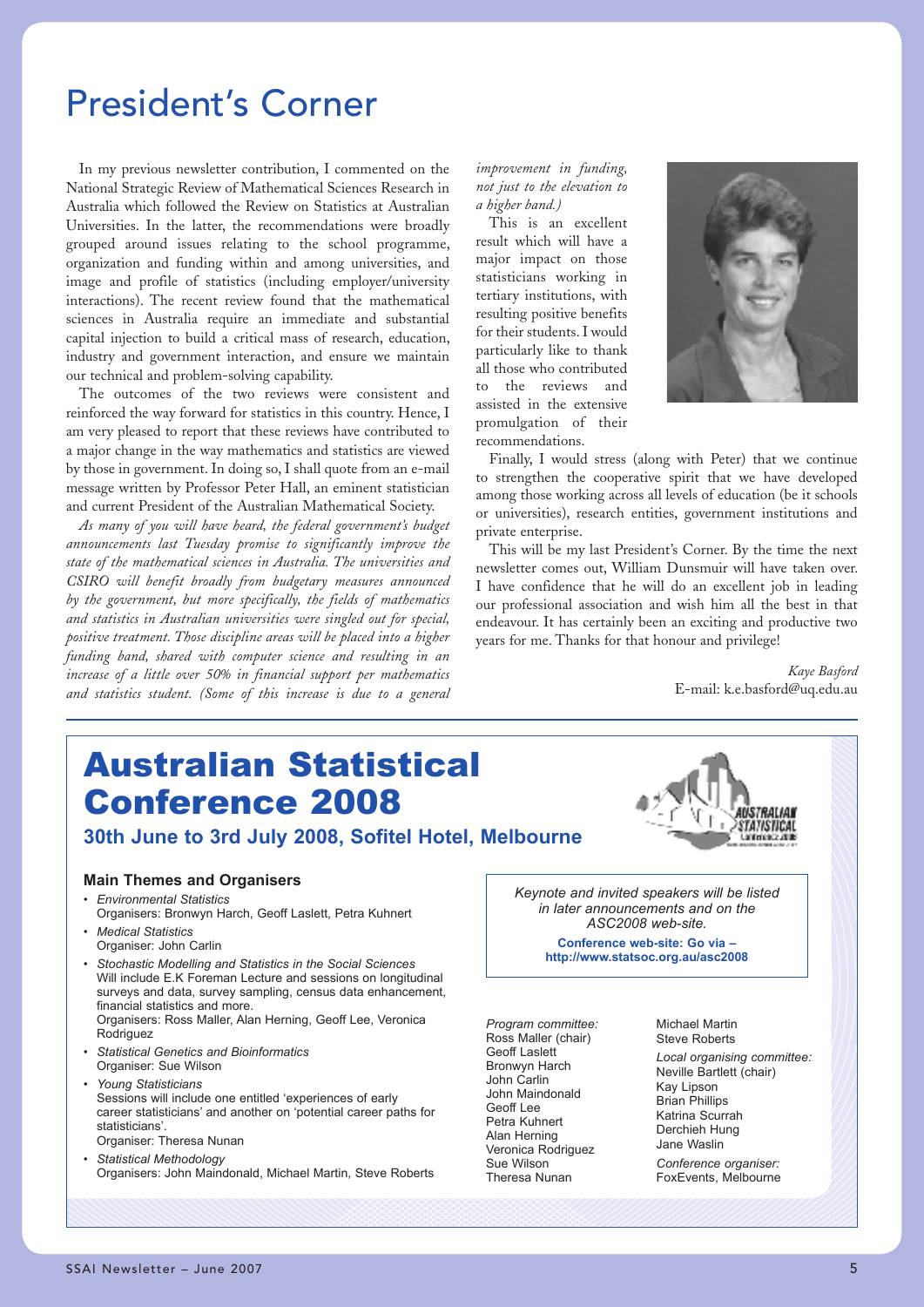## President's Corner

In my previous newsletter contribution, I commented on the National Strategic Review of Mathematical Sciences Research in Australia which followed the Review on Statistics at Australian Universities. In the latter, the recommendations were broadly grouped around issues relating to the school programme, organization and funding within and among universities, and image and profile of statistics (including employer/university interactions). The recent review found that the mathematical sciences in Australia require an immediate and substantial capital injection to build a critical mass of research, education, industry and government interaction, and ensure we maintain our technical and problem-solving capability.

The outcomes of the two reviews were consistent and reinforced the way forward for statistics in this country. Hence, I am very pleased to report that these reviews have contributed to a major change in the way mathematics and statistics are viewed by those in government. In doing so, I shall quote from an e-mail message written by Professor Peter Hall, an eminent statistician and current President of the Australian Mathematical Society.

*As many of you will have heard, the federal government's budget announcements last Tuesday promise to significantly improve the state of the mathematical sciences in Australia. The universities and CSIRO will benefit broadly from budgetary measures announced by the government, but more specifically, the fields of mathematics and statistics in Australian universities were singled out for special, positive treatment. Those discipline areas will be placed into a higher funding band, shared with computer science and resulting in an increase of a little over 50% in financial support per mathematics and statistics student. (Some of this increase is due to a general* 

*improvement in funding, not just to the elevation to a higher band.)*

This is an excellent result which will have a major impact on those statisticians working in tertiary institutions, with resulting positive benefits for their students. I would particularly like to thank all those who contributed to the reviews and assisted in the extensive promulgation of their recommendations.



Finally, I would stress (along with Peter) that we continue to strengthen the cooperative spirit that we have developed among those working across all levels of education (be it schools or universities), research entities, government institutions and private enterprise.

This will be my last President's Corner. By the time the next newsletter comes out, William Dunsmuir will have taken over. I have confidence that he will do an excellent job in leading our professional association and wish him all the best in that endeavour. It has certainly been an exciting and productive two years for me. Thanks for that honour and privilege!

> *Kaye Basford* E-mail: k.e.basford@uq.edu.au

## Australian Statistical Conference 2008



**30th June to 3rd July 2008, Sofitel Hotel, Melbourne**

#### **Main Themes and Organisers**

- • *Environmental Statistics* Organisers: Bronwyn Harch, Geoff Laslett, Petra Kuhnert
- *Medical Statistics* Organiser: John Carlin
- *Stochastic Modelling and Statistics in the Social Sciences* Will include E.K Foreman Lecture and sessions on longitudinal surveys and data, survey sampling, census data enhancement, financial statistics and more. Organisers: Ross Maller, Alan Herning, Geoff Lee, Veronica Rodriguez
- *Statistical Genetics and Bioinformatics* Organiser: Sue Wilson
- *Young Statisticians*
- Sessions will include one entitled 'experiences of early career statisticians' and another on 'potential career paths for statisticians'. Organiser: Theresa Nunan
- *Statistical Methodology* Organisers: John Maindonald, Michael Martin, Steve Roberts



**Conference web-site: Go via – http://www.statsoc.org.au/asc2008**

*Program committee:* Ross Maller (chair) Geoff Laslett Bronwyn Harch John Carlin John Maindonald Geoff Lee Petra Kuhnert Alan Herning Veronica Rodriguez Sue Wilson Theresa Nunan

Michael Martin Steve Roberts *Local organising committee:* Neville Bartlett (chair) Kay Lipson Brian Phillips Katrina Scurrah Derchieh Hung Jane Waslin *Conference organiser:* FoxEvents, Melbourne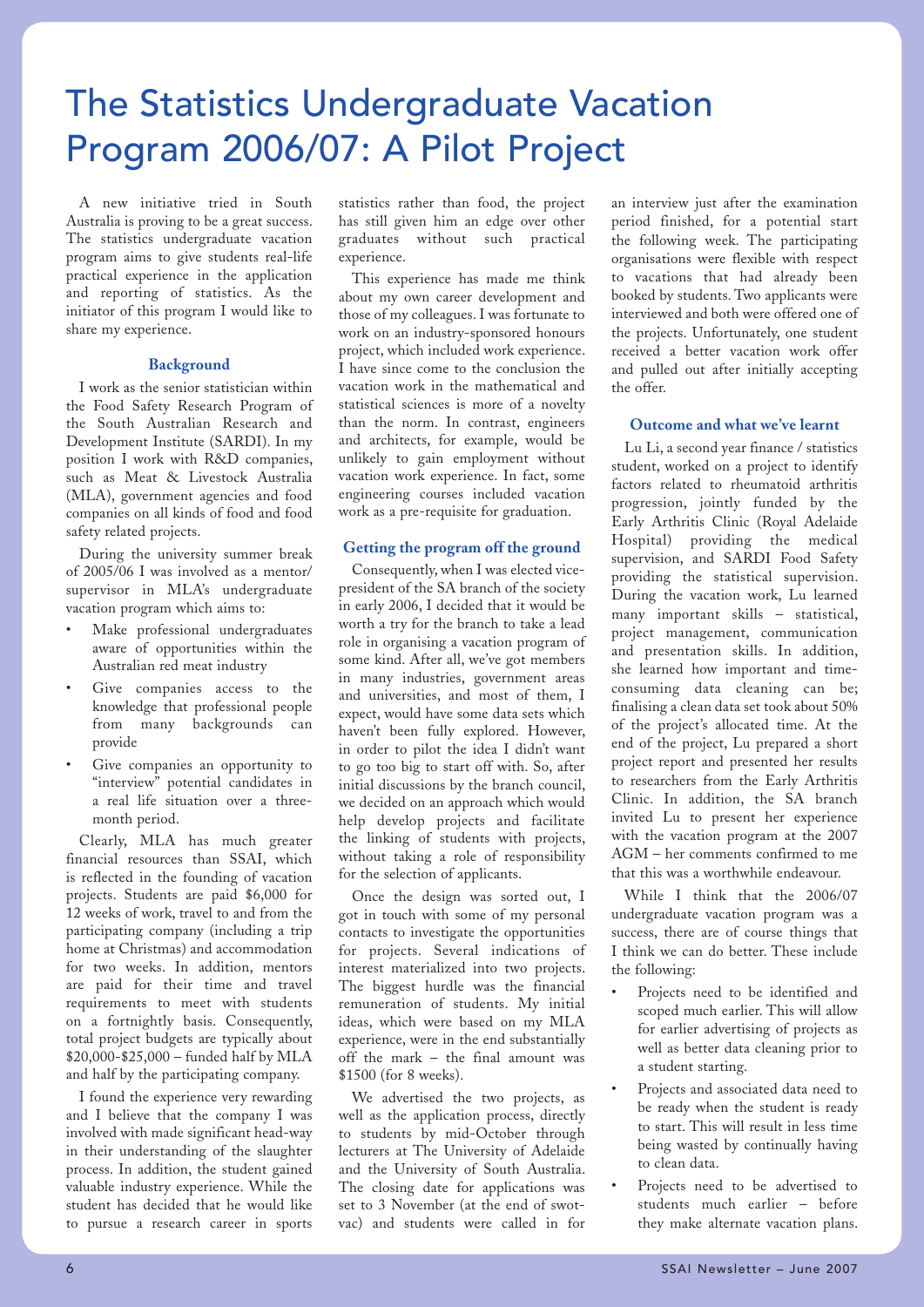## The Statistics Undergraduate Vacation Program 2006/07: A Pilot Project

A new initiative tried in South Australia is proving to be a great success. The statistics undergraduate vacation program aims to give students real-life practical experience in the application and reporting of statistics. As the initiator of this program I would like to share my experience.

#### **Background**

I work as the senior statistician within the Food Safety Research Program of the South Australian Research and Development Institute (SARDI). In my position I work with R&D companies, such as Meat & Livestock Australia (MLA), government agencies and food companies on all kinds of food and food safety related projects.

During the university summer break of 2005/06 I was involved as a mentor/ supervisor in MLA's undergraduate vacation program which aims to:

- Make professional undergraduates aware of opportunities within the Australian red meat industry
- Give companies access to the knowledge that professional people from many backgrounds can provide
- Give companies an opportunity to "interview" potential candidates in a real life situation over a threemonth period.

Clearly, MLA has much greater financial resources than SSAI, which is reflected in the founding of vacation projects. Students are paid \$6,000 for 12 weeks of work, travel to and from the participating company (including a trip home at Christmas) and accommodation for two weeks. In addition, mentors are paid for their time and travel requirements to meet with students on a fortnightly basis. Consequently, total project budgets are typically about \$20,000-\$25,000 – funded half by MLA and half by the participating company.

I found the experience very rewarding and I believe that the company I was involved with made significant head-way in their understanding of the slaughter process. In addition, the student gained valuable industry experience. While the student has decided that he would like to pursue a research career in sports

statistics rather than food, the project has still given him an edge over other graduates without such practical experience.

This experience has made me think about my own career development and those of my colleagues. I was fortunate to work on an industry-sponsored honours project, which included work experience. I have since come to the conclusion the vacation work in the mathematical and statistical sciences is more of a novelty than the norm. In contrast, engineers and architects, for example, would be unlikely to gain employment without vacation work experience. In fact, some engineering courses included vacation work as a pre-requisite for graduation.

#### **Getting the program off the ground**

Consequently, when I was elected vicepresident of the SA branch of the society in early 2006, I decided that it would be worth a try for the branch to take a lead role in organising a vacation program of some kind. After all, we've got members in many industries, government areas and universities, and most of them, I expect, would have some data sets which haven't been fully explored. However, in order to pilot the idea I didn't want to go too big to start off with. So, after initial discussions by the branch council, we decided on an approach which would help develop projects and facilitate the linking of students with projects, without taking a role of responsibility for the selection of applicants.

Once the design was sorted out, I got in touch with some of my personal contacts to investigate the opportunities for projects. Several indications of interest materialized into two projects. The biggest hurdle was the financial remuneration of students. My initial ideas, which were based on my MLA experience, were in the end substantially off the mark – the final amount was \$1500 (for 8 weeks).

We advertised the two projects, as well as the application process, directly to students by mid-October through lecturers at The University of Adelaide and the University of South Australia. The closing date for applications was set to 3 November (at the end of swotvac) and students were called in for

an interview just after the examination period finished, for a potential start the following week. The participating organisations were flexible with respect to vacations that had already been booked by students. Two applicants were interviewed and both were offered one of the projects. Unfortunately, one student received a better vacation work offer and pulled out after initially accepting the offer.

#### **Outcome and what we've learnt**

Lu Li, a second year finance / statistics student, worked on a project to identify factors related to rheumatoid arthritis progression, jointly funded by the Early Arthritis Clinic (Royal Adelaide Hospital) providing the medical supervision, and SARDI Food Safety providing the statistical supervision. During the vacation work, Lu learned many important skills – statistical, project management, communication and presentation skills. In addition, she learned how important and timeconsuming data cleaning can be; finalising a clean data set took about 50% of the project's allocated time. At the end of the project, Lu prepared a short project report and presented her results to researchers from the Early Arthritis Clinic. In addition, the SA branch invited Lu to present her experience with the vacation program at the 2007 AGM – her comments confirmed to me that this was a worthwhile endeavour.

While I think that the 2006/07 undergraduate vacation program was a success, there are of course things that I think we can do better. These include the following:

- Projects need to be identified and scoped much earlier. This will allow for earlier advertising of projects as well as better data cleaning prior to a student starting.
- Projects and associated data need to be ready when the student is ready to start. This will result in less time being wasted by continually having to clean data.
- Projects need to be advertised to students much earlier – before they make alternate vacation plans.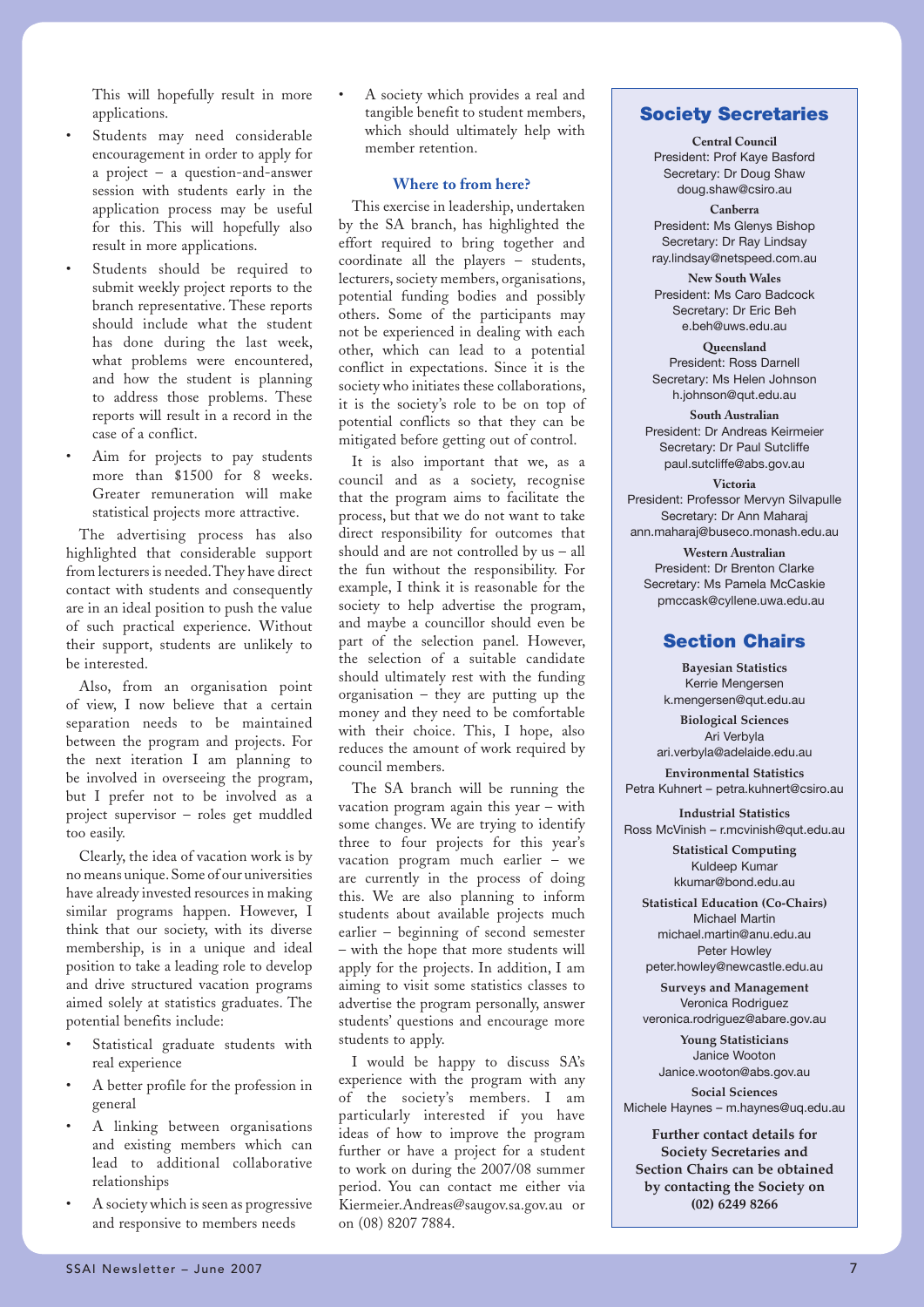This will hopefully result in more applications.

- Students may need considerable encouragement in order to apply for a project – a question-and-answer session with students early in the application process may be useful for this. This will hopefully also result in more applications.
- Students should be required to submit weekly project reports to the branch representative. These reports should include what the student has done during the last week, what problems were encountered, and how the student is planning to address those problems. These reports will result in a record in the case of a conflict.
- Aim for projects to pay students more than \$1500 for 8 weeks. Greater remuneration will make statistical projects more attractive.

The advertising process has also highlighted that considerable support from lecturers is needed. They have direct contact with students and consequently are in an ideal position to push the value of such practical experience. Without their support, students are unlikely to be interested.

Also, from an organisation point of view, I now believe that a certain separation needs to be maintained between the program and projects. For the next iteration I am planning to be involved in overseeing the program, but I prefer not to be involved as a project supervisor – roles get muddled too easily.

Clearly, the idea of vacation work is by no means unique. Some of our universities have already invested resources in making similar programs happen. However, I think that our society, with its diverse membership, is in a unique and ideal position to take a leading role to develop and drive structured vacation programs aimed solely at statistics graduates. The potential benefits include:

- Statistical graduate students with real experience
- A better profile for the profession in general
- A linking between organisations and existing members which can lead to additional collaborative relationships
- A society which is seen as progressive and responsive to members needs

• A society which provides a real and tangible benefit to student members, which should ultimately help with member retention.

#### **Where to from here?**

This exercise in leadership, undertaken by the SA branch, has highlighted the effort required to bring together and coordinate all the players – students, lecturers, society members, organisations, potential funding bodies and possibly others. Some of the participants may not be experienced in dealing with each other, which can lead to a potential conflict in expectations. Since it is the society who initiates these collaborations, it is the society's role to be on top of potential conflicts so that they can be mitigated before getting out of control.

It is also important that we, as a council and as a society, recognise that the program aims to facilitate the process, but that we do not want to take direct responsibility for outcomes that should and are not controlled by us – all the fun without the responsibility. For example, I think it is reasonable for the society to help advertise the program, and maybe a councillor should even be part of the selection panel. However, the selection of a suitable candidate should ultimately rest with the funding organisation – they are putting up the money and they need to be comfortable with their choice. This, I hope, also reduces the amount of work required by council members.

The SA branch will be running the vacation program again this year – with some changes. We are trying to identify three to four projects for this year's vacation program much earlier – we are currently in the process of doing this. We are also planning to inform students about available projects much earlier – beginning of second semester – with the hope that more students will apply for the projects. In addition, I am aiming to visit some statistics classes to advertise the program personally, answer students' questions and encourage more students to apply.

I would be happy to discuss SA's experience with the program with any of the society's members. I am particularly interested if you have ideas of how to improve the program further or have a project for a student to work on during the 2007/08 summer period. You can contact me either via Kiermeier.Andreas@saugov.sa.gov.au or on (08) 8207 7884.

#### **Society Secretaries**

**Central Council** President: Prof Kaye Basford Secretary: Dr Doug Shaw doug.shaw@csiro.au

**Canberra** President: Ms Glenys Bishop Secretary: Dr Ray Lindsay ray.lindsay@netspeed.com.au

**New South Wales** President: Ms Caro Badcock Secretary: Dr Eric Beh e.beh@uws.edu.au

**Queensland** President: Ross Darnell Secretary: Ms Helen Johnson h.johnson@qut.edu.au

**South Australian** President: Dr Andreas Keirmeier Secretary: Dr Paul Sutcliffe paul.sutcliffe@abs.gov.au

**Victoria** President: Professor Mervyn Silvapulle Secretary: Dr Ann Maharaj ann.maharaj@buseco.monash.edu.au

**Western Australian** President: Dr Brenton Clarke Secretary: Ms Pamela McCaskie pmccask@cyllene.uwa.edu.au

#### **Section Chairs**

**Bayesian Statistics** Kerrie Mengersen k.mengersen@qut.edu.au

**Biological Sciences** Ari Verbyla ari.verbyla@adelaide.edu.au

**Environmental Statistics** Petra Kuhnert – petra.kuhnert@csiro.au

**Industrial Statistics** Ross McVinish – r.mcvinish@qut.edu.au

> **Statistical Computing** Kuldeep Kumar kkumar@bond.edu.au

**Statistical Education (Co-Chairs)** Michael Martin michael.martin@anu.edu.au Peter Howley peter.howley@newcastle.edu.au

**Surveys and Management** Veronica Rodriguez veronica.rodriguez@abare.gov.au

**Young Statisticians** Janice Wooton Janice.wooton@abs.gov.au

**Social Sciences** Michele Haynes – m.haynes@uq.edu.au

**Further contact details for Society Secretaries and Section Chairs can be obtained by contacting the Society on (02) 6249 8266**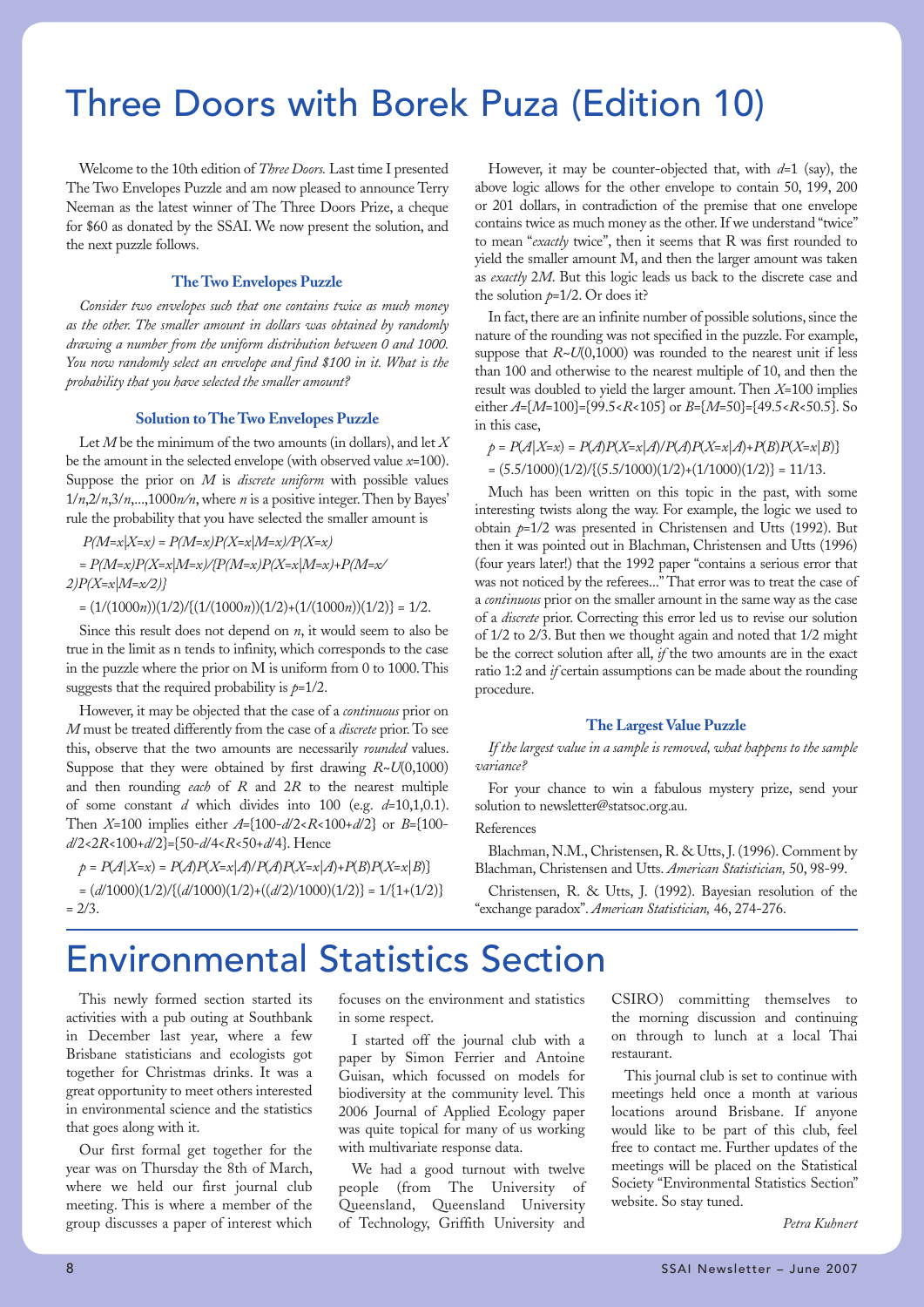## Three Doors with Borek Puza (Edition 10)

Welcome to the 10th edition of *Three Doors.* Last time I presented The Two Envelopes Puzzle and am now pleased to announce Terry Neeman as the latest winner of The Three Doors Prize, a cheque for \$60 as donated by the SSAI. We now present the solution, and the next puzzle follows.

#### **The Two Envelopes Puzzle**

*Consider two envelopes such that one contains twice as much money as the other. The smaller amount in dollars was obtained by randomly drawing a number from the uniform distribution between 0 and 1000. You now randomly select an envelope and find \$100 in it. What is the probability that you have selected the smaller amount?* 

#### **Solution to The Two Envelopes Puzzle**

Let *M* be the minimum of the two amounts (in dollars), and let *X* be the amount in the selected envelope (with observed value *x*=100). Suppose the prior on *M* is *discrete uniform* with possible values 1/*n*,2/*n*,3/*n*,...,1000*n/n*, where *n* is a positive integer. Then by Bayes' rule the probability that you have selected the smaller amount is

 *P(M=x|X=x) = P(M=x)P(X=x|M=x)/P(X=x) = P(M=x)P(X=x|M=x)/{P(M=x)P(X=x|M=x)+P(M=x/*

*2)P(X=x|M=x/2)}*

 $=(1/(1000n))(1/2)/{(1/(1000n))(1/2)+(1/(1000n))(1/2)} = 1/2.$ 

Since this result does not depend on *n*, it would seem to also be true in the limit as n tends to infinity, which corresponds to the case in the puzzle where the prior on M is uniform from 0 to 1000. This suggests that the required probability is  $p=1/2$ .

However, it may be objected that the case of a *continuous* prior on *M* must be treated differently from the case of a *discrete* prior. To see this, observe that the two amounts are necessarily *rounded* values. Suppose that they were obtained by first drawing *R~U*(0,1000) and then rounding *each* of *R* and 2*R* to the nearest multiple of some constant *d* which divides into 100 (e.g. *d*=10,1,0.1). Then *X*=100 implies either *A*={100-*d*/2<*R*<100+*d*/2} or *B*={100 *d*/2<2*R*<100+*d*/2}={50-*d*/4<*R*<50+*d*/4}. Hence

*p* = *P*(*A*|*X*=*x*) = *P*(*A*)*P*(*X*=*x*|*A*)/*P*(*A*)*P*(*X*=*x*|*A*)+*P*(*B*)*P*(*X*=*x*|*B*)} = (*d*/1000)(1/2)/{(*d*/1000)(1/2)+((*d*/2)/1000)(1/2)} = 1/{1+(1/2)}  $= 2/3.$ 

However, it may be counter-objected that, with *d*=1 (say), the above logic allows for the other envelope to contain 50, 199, 200 or 201 dollars, in contradiction of the premise that one envelope contains twice as much money as the other. If we understand "twice" to mean "*exactly* twice", then it seems that R was first rounded to yield the smaller amount M, and then the larger amount was taken as *exactly* 2*M*. But this logic leads us back to the discrete case and the solution  $p=1/2$ . Or does it?

In fact, there are an infinite number of possible solutions, since the nature of the rounding was not specified in the puzzle. For example, suppose that  $R~U(0,1000)$  was rounded to the nearest unit if less than 100 and otherwise to the nearest multiple of 10, and then the result was doubled to yield the larger amount. Then *X*=100 implies either *A*={*M*=100}={99.5<*R*<105} or *B*={*M*=50}={49.5<*R*<50.5}. So in this case,

*p* = *P*(*A*|*X*=*x*) = *P*(*A*)*P*(*X*=*x*|*A*)/*P*(*A*)*P*(*X*=*x*|*A*)+*P*(*B*)*P*(*X*=*x*|*B*)}  $=(5.5/1000)(1/2)/{(5.5/1000)(1/2)+(1/1000)(1/2)} = 11/13.$ 

Much has been written on this topic in the past, with some interesting twists along the way. For example, the logic we used to obtain *p*=1/2 was presented in Christensen and Utts (1992). But then it was pointed out in Blachman, Christensen and Utts (1996) (four years later!) that the 1992 paper "contains a serious error that was not noticed by the referees..." That error was to treat the case of a *continuous* prior on the smaller amount in the same way as the case of a *discrete* prior. Correcting this error led us to revise our solution of 1/2 to 2/3. But then we thought again and noted that 1/2 might be the correct solution after all, *if* the two amounts are in the exact ratio 1:2 and *if* certain assumptions can be made about the rounding procedure.

#### **The Largest Value Puzzle**

*If the largest value in a sample is removed, what happens to the sample variance?*

For your chance to win a fabulous mystery prize, send your solution to newsletter@statsoc.org.au.

References

Blachman, N.M., Christensen, R. & Utts, J. (1996). Comment by Blachman, Christensen and Utts. *American Statistician,* 50, 98-99.

Christensen, R. & Utts, J. (1992). Bayesian resolution of the "exchange paradox". *American Statistician,* 46, 274-276.

## Environmental Statistics Section

This newly formed section started its activities with a pub outing at Southbank in December last year, where a few Brisbane statisticians and ecologists got together for Christmas drinks. It was a great opportunity to meet others interested in environmental science and the statistics that goes along with it.

Our first formal get together for the year was on Thursday the 8th of March, where we held our first journal club meeting. This is where a member of the group discusses a paper of interest which

focuses on the environment and statistics in some respect.

I started off the journal club with a paper by Simon Ferrier and Antoine Guisan, which focussed on models for biodiversity at the community level. This 2006 Journal of Applied Ecology paper was quite topical for many of us working with multivariate response data.

We had a good turnout with twelve people (from The University of Queensland, Queensland University of Technology, Griffith University and

CSIRO) committing themselves to the morning discussion and continuing on through to lunch at a local Thai restaurant.

This journal club is set to continue with meetings held once a month at various locations around Brisbane. If anyone would like to be part of this club, feel free to contact me. Further updates of the meetings will be placed on the Statistical Society "Environmental Statistics Section" website. So stay tuned.

*Petra Kuhnert*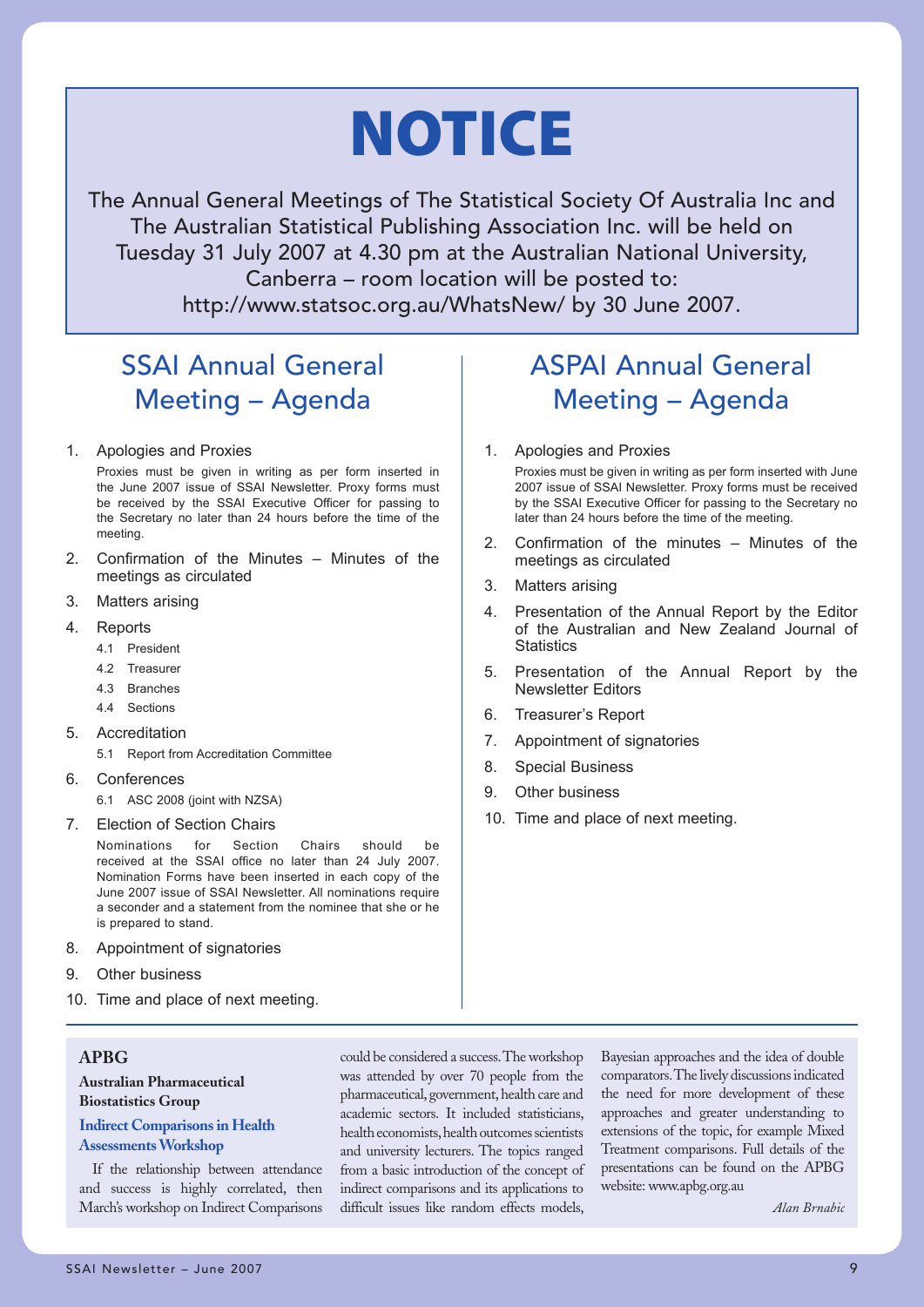# **NOTICE**

The Annual General Meetings of The Statistical Society Of Australia Inc and The Australian Statistical Publishing Association Inc. will be held on Tuesday 31 July 2007 at 4.30 pm at the Australian National University, Canberra – room location will be posted to: http://www.statsoc.org.au/WhatsNew/ by 30 June 2007.

### SSAI Annual General Meeting – Agenda

#### 1. Apologies and Proxies

Proxies must be given in writing as per form inserted in the June 2007 issue of SSAI Newsletter. Proxy forms must be received by the SSAI Executive Officer for passing to the Secretary no later than 24 hours before the time of the meeting.

- 2. Confirmation of the Minutes Minutes of the meetings as circulated
- 3. Matters arising
- 4. Reports
	- 4.1 President
	- 4.2 Treasurer
	- 4.3 Branches
	- 4.4 Sections
- 5. Accreditation

5.1 Report from Accreditation Committee

- 6. Conferences
	- 6.1 ASC 2008 (joint with NZSA)
- 7. Election of Section Chairs

Nominations for Section Chairs should be received at the SSAI office no later than 24 July 2007. Nomination Forms have been inserted in each copy of the June 2007 issue of SSAI Newsletter. All nominations require a seconder and a statement from the nominee that she or he is prepared to stand.

- 8. Appointment of signatories
- 9. Other business
- 10. Time and place of next meeting.

### **APBG**

#### **Australian Pharmaceutical Biostatistics Group**

#### **Indirect Comparisons in Health Assessments Workshop**

If the relationship between attendance and success is highly correlated, then March's workshop on Indirect Comparisons

could be considered a success. The workshop was attended by over 70 people from the pharmaceutical, government, health care and academic sectors. It included statisticians, health economists, health outcomes scientists and university lecturers. The topics ranged from a basic introduction of the concept of indirect comparisons and its applications to difficult issues like random effects models,

Bayesian approaches and the idea of double comparators. The lively discussions indicated the need for more development of these approaches and greater understanding to extensions of the topic, for example Mixed Treatment comparisons. Full details of the presentations can be found on the APBG website: www.apbg.org.au

*Alan Brnabic*

### ASPAI Annual General Meeting – Agenda

1. Apologies and Proxies

Proxies must be given in writing as per form inserted with June 2007 issue of SSAI Newsletter. Proxy forms must be received by the SSAI Executive Officer for passing to the Secretary no later than 24 hours before the time of the meeting.

- 2. Confirmation of the minutes Minutes of the meetings as circulated
- 3. Matters arising
- 4. Presentation of the Annual Report by the Editor of the Australian and New Zealand Journal of **Statistics**
- 5. Presentation of the Annual Report by the Newsletter Editors
- 6. Treasurer's Report
- 7. Appointment of signatories
- 8. Special Business
- 9. Other business
- 10. Time and place of next meeting.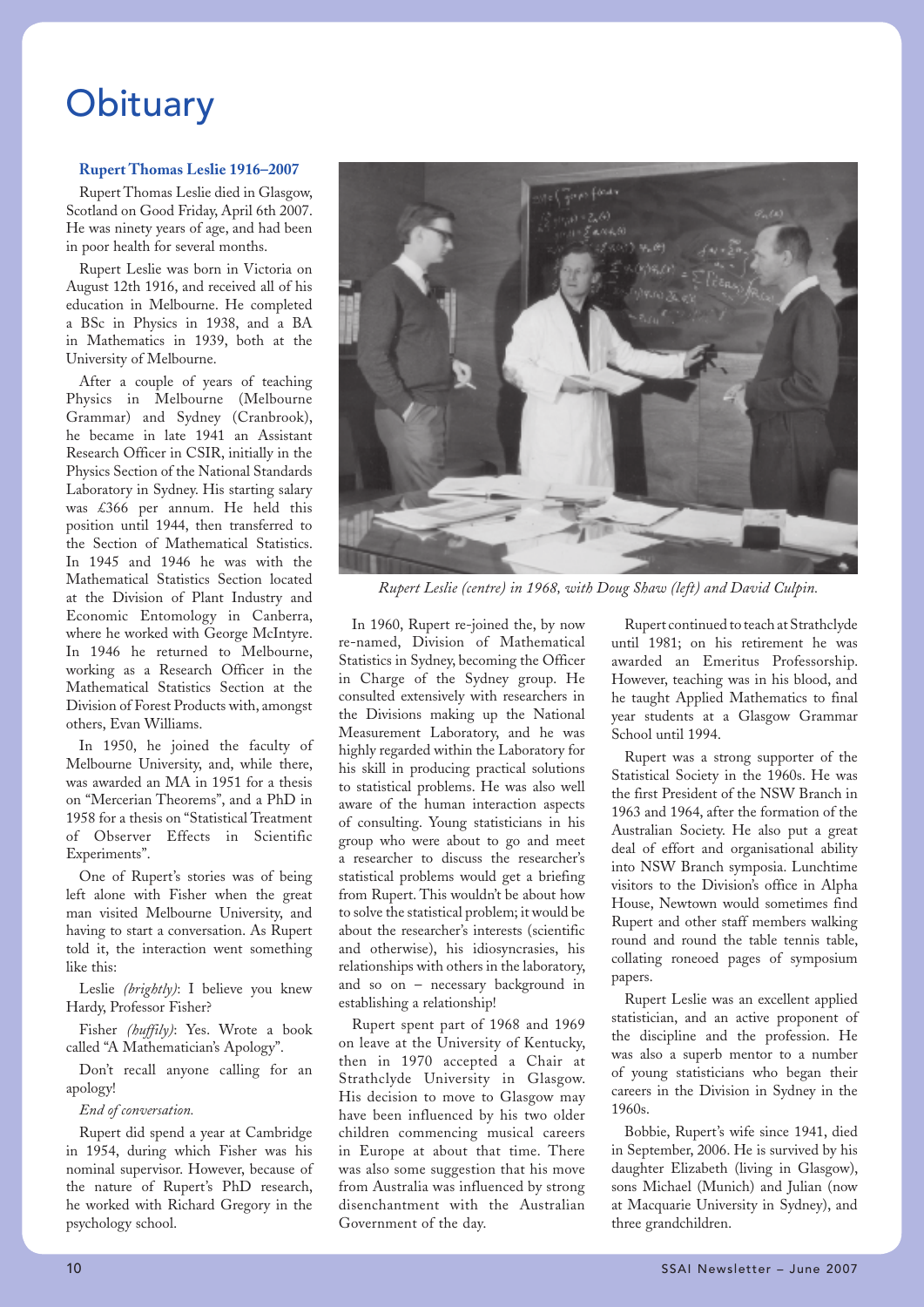## **Obituary**

#### **Rupert Thomas Leslie 1916–2007**

Rupert Thomas Leslie died in Glasgow, Scotland on Good Friday, April 6th 2007. He was ninety years of age, and had been in poor health for several months.

Rupert Leslie was born in Victoria on August 12th 1916, and received all of his education in Melbourne. He completed a BSc in Physics in 1938, and a BA in Mathematics in 1939, both at the University of Melbourne.

After a couple of years of teaching Physics in Melbourne (Melbourne Grammar) and Sydney (Cranbrook), he became in late 1941 an Assistant Research Officer in CSIR, initially in the Physics Section of the National Standards Laboratory in Sydney. His starting salary was £366 per annum. He held this position until 1944, then transferred to the Section of Mathematical Statistics. In 1945 and 1946 he was with the Mathematical Statistics Section located at the Division of Plant Industry and Economic Entomology in Canberra, where he worked with George McIntyre. In 1946 he returned to Melbourne, working as a Research Officer in the Mathematical Statistics Section at the Division of Forest Products with, amongst others, Evan Williams.

In 1950, he joined the faculty of Melbourne University, and, while there, was awarded an MA in 1951 for a thesis on "Mercerian Theorems", and a PhD in 1958 for a thesis on "Statistical Treatment of Observer Effects in Scientific Experiments".

One of Rupert's stories was of being left alone with Fisher when the great man visited Melbourne University, and having to start a conversation. As Rupert told it, the interaction went something like this:

Leslie *(brightly)*: I believe you knew Hardy, Professor Fisher?

Fisher *(huffily)*: Yes. Wrote a book called "A Mathematician's Apology".

Don't recall anyone calling for an apology!

#### *End of conversation.*

Rupert did spend a year at Cambridge in 1954, during which Fisher was his nominal supervisor. However, because of the nature of Rupert's PhD research, he worked with Richard Gregory in the psychology school.



*Rupert Leslie (centre) in 1968, with Doug Shaw (left) and David Culpin.*

In 1960, Rupert re-joined the, by now re-named, Division of Mathematical Statistics in Sydney, becoming the Officer in Charge of the Sydney group. He consulted extensively with researchers in the Divisions making up the National Measurement Laboratory, and he was highly regarded within the Laboratory for his skill in producing practical solutions to statistical problems. He was also well aware of the human interaction aspects of consulting. Young statisticians in his group who were about to go and meet a researcher to discuss the researcher's statistical problems would get a briefing from Rupert. This wouldn't be about how to solve the statistical problem; it would be about the researcher's interests (scientific and otherwise), his idiosyncrasies, his relationships with others in the laboratory, and so on – necessary background in establishing a relationship!

Rupert spent part of 1968 and 1969 on leave at the University of Kentucky, then in 1970 accepted a Chair at Strathclyde University in Glasgow. His decision to move to Glasgow may have been influenced by his two older children commencing musical careers in Europe at about that time. There was also some suggestion that his move from Australia was influenced by strong disenchantment with the Australian Government of the day.

Rupert continued to teach at Strathclyde until 1981; on his retirement he was awarded an Emeritus Professorship. However, teaching was in his blood, and he taught Applied Mathematics to final year students at a Glasgow Grammar School until 1994.

Rupert was a strong supporter of the Statistical Society in the 1960s. He was the first President of the NSW Branch in 1963 and 1964, after the formation of the Australian Society. He also put a great deal of effort and organisational ability into NSW Branch symposia. Lunchtime visitors to the Division's office in Alpha House, Newtown would sometimes find Rupert and other staff members walking round and round the table tennis table, collating roneoed pages of symposium papers.

Rupert Leslie was an excellent applied statistician, and an active proponent of the discipline and the profession. He was also a superb mentor to a number of young statisticians who began their careers in the Division in Sydney in the 1960s.

Bobbie, Rupert's wife since 1941, died in September, 2006. He is survived by his daughter Elizabeth (living in Glasgow), sons Michael (Munich) and Julian (now at Macquarie University in Sydney), and three grandchildren.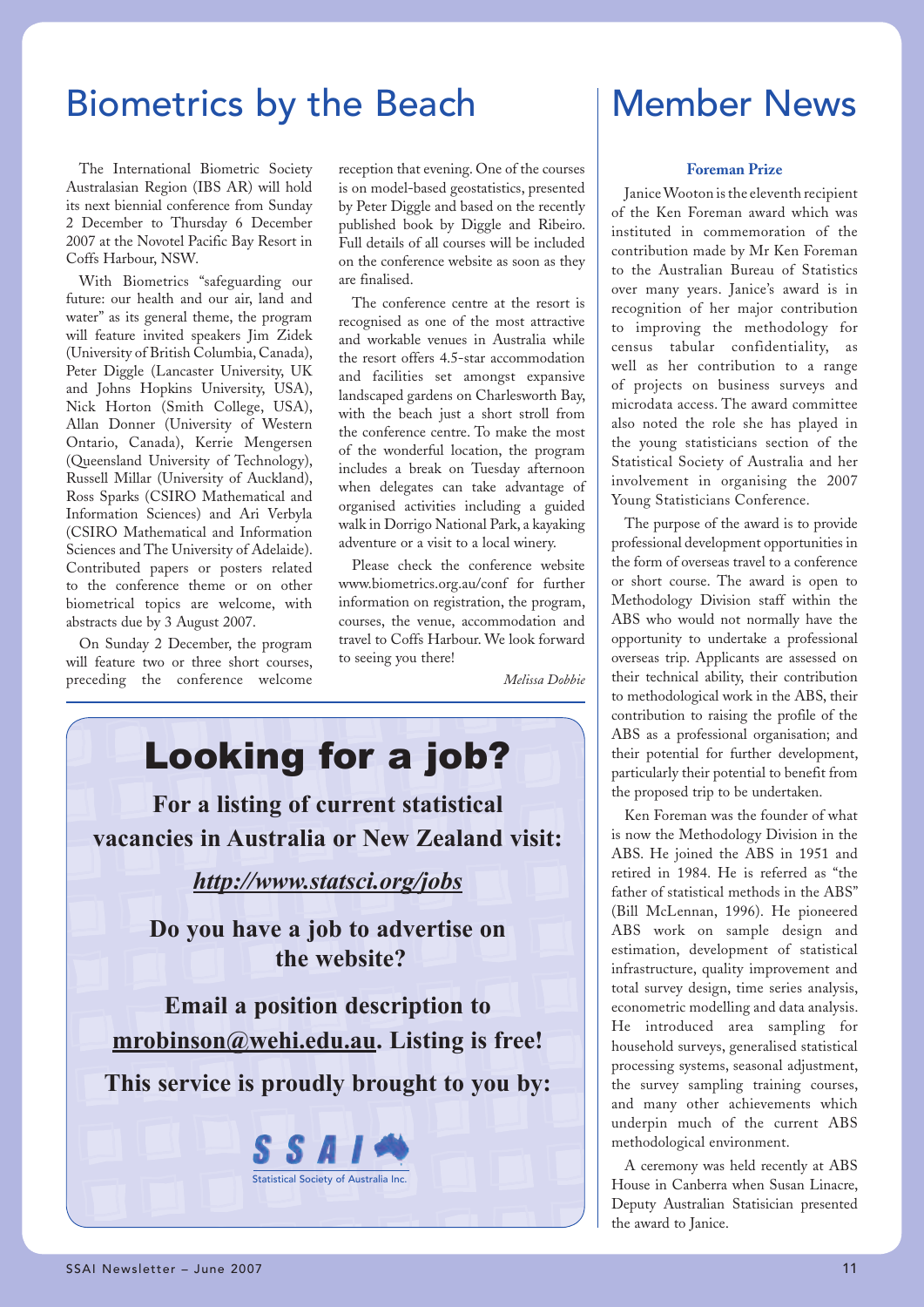## Biometrics by the Beach

The International Biometric Society Australasian Region (IBS AR) will hold its next biennial conference from Sunday 2 December to Thursday 6 December 2007 at the Novotel Pacific Bay Resort in Coffs Harbour, NSW.

With Biometrics "safeguarding our future: our health and our air, land and water" as its general theme, the program will feature invited speakers Jim Zidek (University of British Columbia, Canada), Peter Diggle (Lancaster University, UK and Johns Hopkins University, USA), Nick Horton (Smith College, USA), Allan Donner (University of Western Ontario, Canada), Kerrie Mengersen (Queensland University of Technology), Russell Millar (University of Auckland), Ross Sparks (CSIRO Mathematical and Information Sciences) and Ari Verbyla (CSIRO Mathematical and Information Sciences and The University of Adelaide). Contributed papers or posters related to the conference theme or on other biometrical topics are welcome, with abstracts due by 3 August 2007.

On Sunday 2 December, the program will feature two or three short courses, preceding the conference welcome

reception that evening. One of the courses is on model-based geostatistics, presented by Peter Diggle and based on the recently published book by Diggle and Ribeiro. Full details of all courses will be included on the conference website as soon as they are finalised.

The conference centre at the resort is recognised as one of the most attractive and workable venues in Australia while the resort offers 4.5-star accommodation and facilities set amongst expansive landscaped gardens on Charlesworth Bay, with the beach just a short stroll from the conference centre. To make the most of the wonderful location, the program includes a break on Tuesday afternoon when delegates can take advantage of organised activities including a guided walk in Dorrigo National Park, a kayaking adventure or a visit to a local winery.

Please check the conference website www.biometrics.org.au/conf for further information on registration, the program, courses, the venue, accommodation and travel to Coffs Harbour. We look forward to seeing you there!

*Melissa Dobbie*



## Member News

#### **Foreman Prize**

Janice Wooton is the eleventh recipient of the Ken Foreman award which was instituted in commemoration of the contribution made by Mr Ken Foreman to the Australian Bureau of Statistics over many years. Janice's award is in recognition of her major contribution to improving the methodology for census tabular confidentiality, as well as her contribution to a range of projects on business surveys and microdata access. The award committee also noted the role she has played in the young statisticians section of the Statistical Society of Australia and her involvement in organising the 2007 Young Statisticians Conference.

The purpose of the award is to provide professional development opportunities in the form of overseas travel to a conference or short course. The award is open to Methodology Division staff within the ABS who would not normally have the opportunity to undertake a professional overseas trip. Applicants are assessed on their technical ability, their contribution to methodological work in the ABS, their contribution to raising the profile of the ABS as a professional organisation; and their potential for further development, particularly their potential to benefit from the proposed trip to be undertaken.

Ken Foreman was the founder of what is now the Methodology Division in the ABS. He joined the ABS in 1951 and retired in 1984. He is referred as "the father of statistical methods in the ABS" (Bill McLennan, 1996). He pioneered ABS work on sample design and estimation, development of statistical infrastructure, quality improvement and total survey design, time series analysis, econometric modelling and data analysis. He introduced area sampling for household surveys, generalised statistical processing systems, seasonal adjustment, the survey sampling training courses, and many other achievements which underpin much of the current ABS methodological environment.

A ceremony was held recently at ABS House in Canberra when Susan Linacre, Deputy Australian Statisician presented the award to Janice.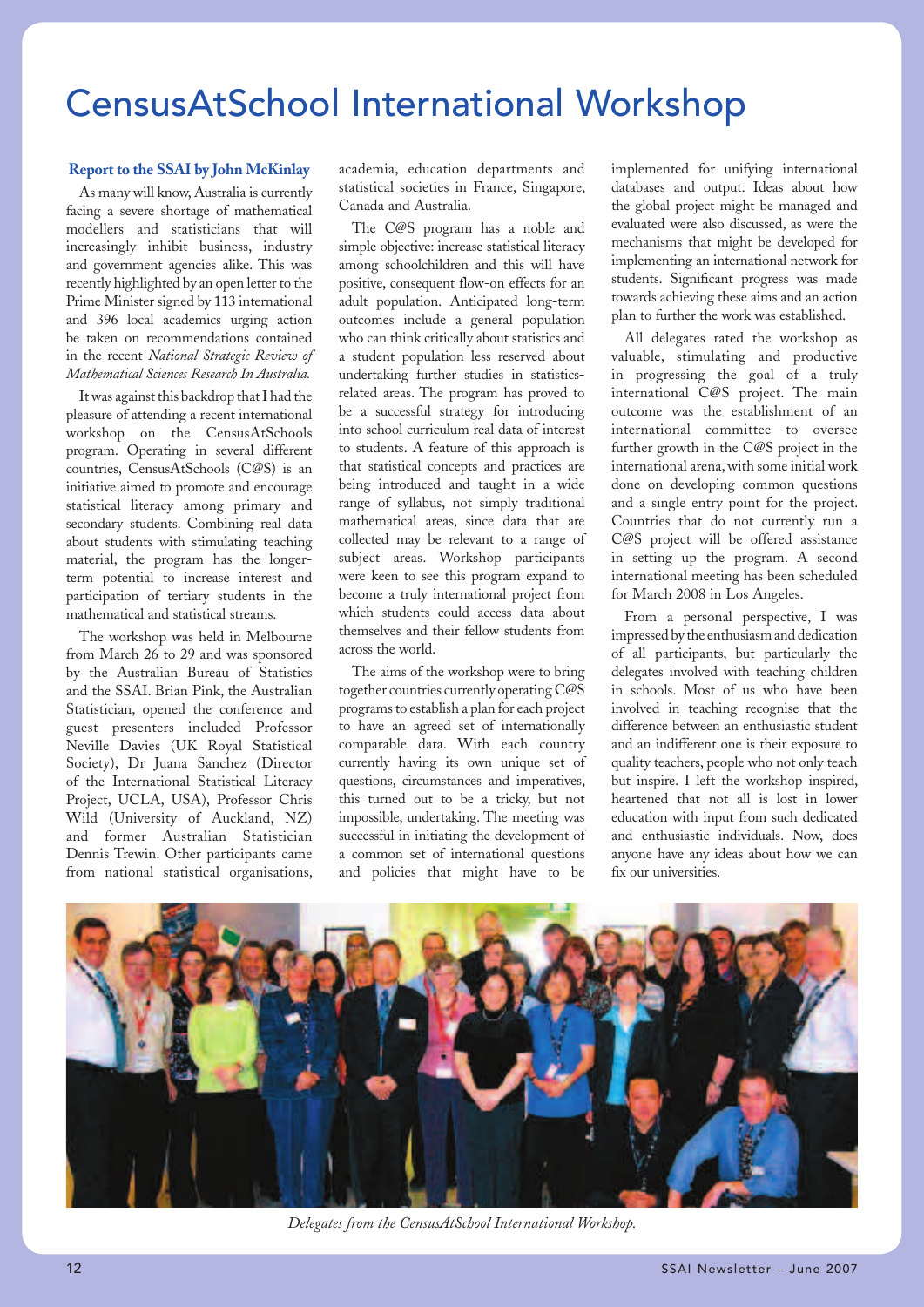## CensusAtSchool International Workshop

#### **Report to the SSAI by John McKinlay**

As many will know, Australia is currently facing a severe shortage of mathematical modellers and statisticians that will increasingly inhibit business, industry and government agencies alike. This was recently highlighted by an open letter to the Prime Minister signed by 113 international and 396 local academics urging action be taken on recommendations contained in the recent *National Strategic Review of Mathematical Sciences Research In Australia.*

It was against this backdrop that I had the pleasure of attending a recent international workshop on the CensusAtSchools program. Operating in several different countries, CensusAtSchools (C@S) is an initiative aimed to promote and encourage statistical literacy among primary and secondary students. Combining real data about students with stimulating teaching material, the program has the longerterm potential to increase interest and participation of tertiary students in the mathematical and statistical streams.

The workshop was held in Melbourne from March 26 to 29 and was sponsored by the Australian Bureau of Statistics and the SSAI. Brian Pink, the Australian Statistician, opened the conference and guest presenters included Professor Neville Davies (UK Royal Statistical Society), Dr Juana Sanchez (Director of the International Statistical Literacy Project, UCLA, USA), Professor Chris Wild (University of Auckland, NZ) and former Australian Statistician Dennis Trewin. Other participants came from national statistical organisations,

academia, education departments and statistical societies in France, Singapore, Canada and Australia.

The C@S program has a noble and simple objective: increase statistical literacy among schoolchildren and this will have positive, consequent flow-on effects for an adult population. Anticipated long-term outcomes include a general population who can think critically about statistics and a student population less reserved about undertaking further studies in statisticsrelated areas. The program has proved to be a successful strategy for introducing into school curriculum real data of interest to students. A feature of this approach is that statistical concepts and practices are being introduced and taught in a wide range of syllabus, not simply traditional mathematical areas, since data that are collected may be relevant to a range of subject areas. Workshop participants were keen to see this program expand to become a truly international project from which students could access data about themselves and their fellow students from across the world.

The aims of the workshop were to bring together countries currently operating C@S programs to establish a plan for each project to have an agreed set of internationally comparable data. With each country currently having its own unique set of questions, circumstances and imperatives, this turned out to be a tricky, but not impossible, undertaking. The meeting was successful in initiating the development of a common set of international questions and policies that might have to be

implemented for unifying international databases and output. Ideas about how the global project might be managed and evaluated were also discussed, as were the mechanisms that might be developed for implementing an international network for students. Significant progress was made towards achieving these aims and an action plan to further the work was established.

All delegates rated the workshop as valuable, stimulating and productive in progressing the goal of a truly international C@S project. The main outcome was the establishment of an international committee to oversee further growth in the C@S project in the international arena, with some initial work done on developing common questions and a single entry point for the project. Countries that do not currently run a C@S project will be offered assistance in setting up the program. A second international meeting has been scheduled for March 2008 in Los Angeles.

From a personal perspective, I was impressed by the enthusiasm and dedication of all participants, but particularly the delegates involved with teaching children in schools. Most of us who have been involved in teaching recognise that the difference between an enthusiastic student and an indifferent one is their exposure to quality teachers, people who not only teach but inspire. I left the workshop inspired, heartened that not all is lost in lower education with input from such dedicated and enthusiastic individuals. Now, does anyone have any ideas about how we can fix our universities.



*Delegates from the CensusAtSchool International Workshop.*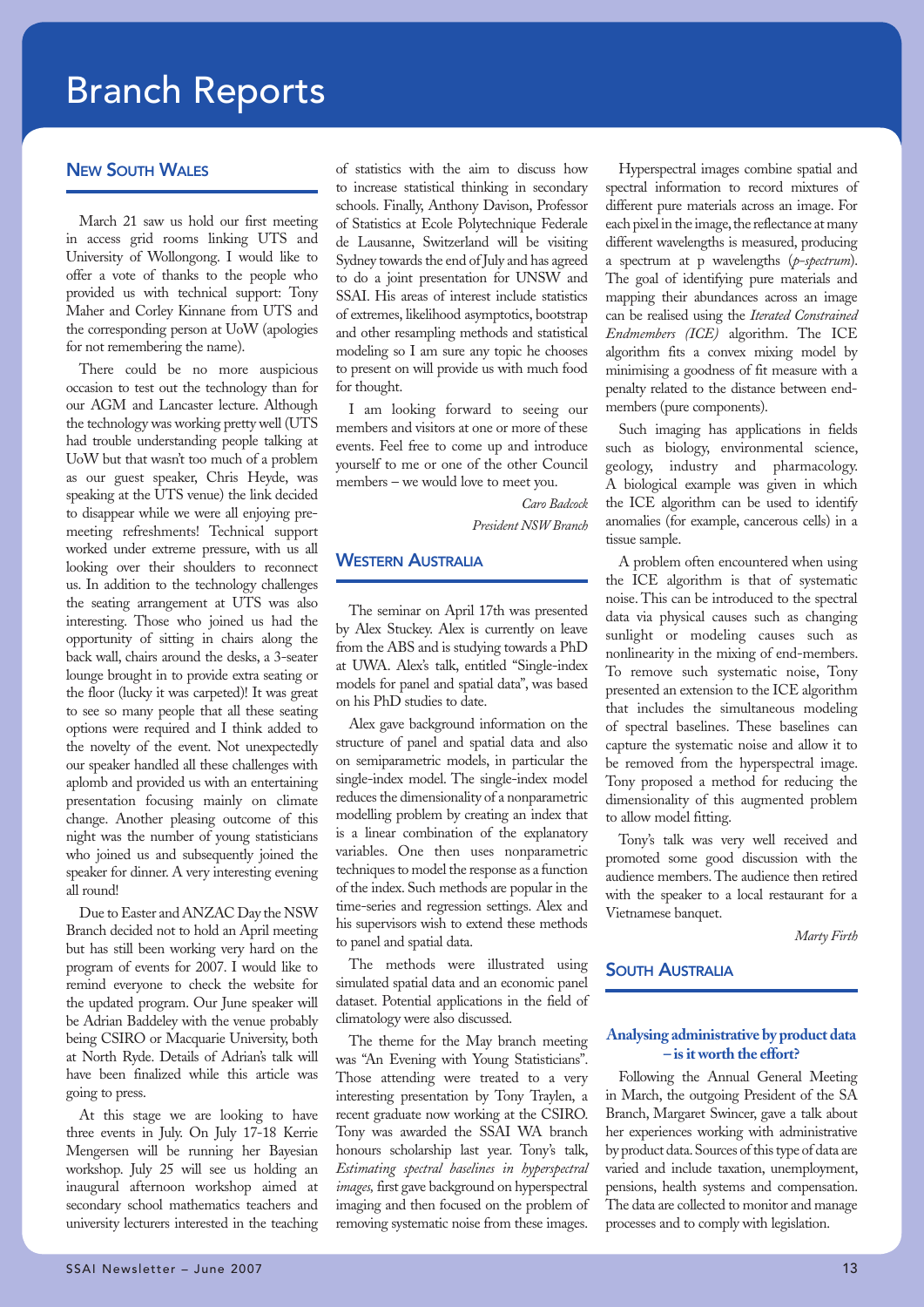## Branch Reports

#### **NEW SOUTH WALES**

March 21 saw us hold our first meeting in access grid rooms linking UTS and University of Wollongong. I would like to offer a vote of thanks to the people who provided us with technical support: Tony Maher and Corley Kinnane from UTS and the corresponding person at UoW (apologies for not remembering the name).

There could be no more auspicious occasion to test out the technology than for our AGM and Lancaster lecture. Although the technology was working pretty well (UTS had trouble understanding people talking at UoW but that wasn't too much of a problem as our guest speaker, Chris Heyde, was speaking at the UTS venue) the link decided to disappear while we were all enjoying premeeting refreshments! Technical support worked under extreme pressure, with us all looking over their shoulders to reconnect us. In addition to the technology challenges the seating arrangement at UTS was also interesting. Those who joined us had the opportunity of sitting in chairs along the back wall, chairs around the desks, a 3-seater lounge brought in to provide extra seating or the floor (lucky it was carpeted)! It was great to see so many people that all these seating options were required and I think added to the novelty of the event. Not unexpectedly our speaker handled all these challenges with aplomb and provided us with an entertaining presentation focusing mainly on climate change. Another pleasing outcome of this night was the number of young statisticians who joined us and subsequently joined the speaker for dinner. A very interesting evening all round!

Due to Easter and ANZAC Day the NSW Branch decided not to hold an April meeting but has still been working very hard on the program of events for 2007. I would like to remind everyone to check the website for the updated program. Our June speaker will be Adrian Baddeley with the venue probably being CSIRO or Macquarie University, both at North Ryde. Details of Adrian's talk will have been finalized while this article was going to press.

At this stage we are looking to have three events in July. On July 17-18 Kerrie Mengersen will be running her Bayesian workshop. July 25 will see us holding an inaugural afternoon workshop aimed at secondary school mathematics teachers and university lecturers interested in the teaching of statistics with the aim to discuss how to increase statistical thinking in secondary schools. Finally, Anthony Davison, Professor of Statistics at Ecole Polytechnique Federale de Lausanne, Switzerland will be visiting Sydney towards the end of July and has agreed to do a joint presentation for UNSW and SSAI. His areas of interest include statistics of extremes, likelihood asymptotics, bootstrap and other resampling methods and statistical modeling so I am sure any topic he chooses to present on will provide us with much food for thought.

I am looking forward to seeing our members and visitors at one or more of these events. Feel free to come up and introduce yourself to me or one of the other Council members – we would love to meet you.

> *Caro Badcock President NSW Branch*

#### **WESTERN AUSTRALIA**

The seminar on April 17th was presented by Alex Stuckey. Alex is currently on leave from the ABS and is studying towards a PhD at UWA. Alex's talk, entitled "Single-index models for panel and spatial data", was based on his PhD studies to date.

Alex gave background information on the structure of panel and spatial data and also on semiparametric models, in particular the single-index model. The single-index model reduces the dimensionality of a nonparametric modelling problem by creating an index that is a linear combination of the explanatory variables. One then uses nonparametric techniques to model the response as a function of the index. Such methods are popular in the time-series and regression settings. Alex and his supervisors wish to extend these methods to panel and spatial data.

The methods were illustrated using simulated spatial data and an economic panel dataset. Potential applications in the field of climatology were also discussed.

The theme for the May branch meeting was "An Evening with Young Statisticians". Those attending were treated to a very interesting presentation by Tony Traylen, a recent graduate now working at the CSIRO. Tony was awarded the SSAI WA branch honours scholarship last year. Tony's talk, *Estimating spectral baselines in hyperspectral images,* first gave background on hyperspectral imaging and then focused on the problem of removing systematic noise from these images.

Hyperspectral images combine spatial and spectral information to record mixtures of different pure materials across an image. For each pixel in the image, the reflectance at many different wavelengths is measured, producing a spectrum at p wavelengths (*p-spectrum*). The goal of identifying pure materials and mapping their abundances across an image can be realised using the *Iterated Constrained Endmembers (ICE)* algorithm. The ICE algorithm fits a convex mixing model by minimising a goodness of fit measure with a penalty related to the distance between endmembers (pure components).

Such imaging has applications in fields such as biology, environmental science, geology, industry and pharmacology. A biological example was given in which the ICE algorithm can be used to identify anomalies (for example, cancerous cells) in a tissue sample.

A problem often encountered when using the ICE algorithm is that of systematic noise. This can be introduced to the spectral data via physical causes such as changing sunlight or modeling causes such as nonlinearity in the mixing of end-members. To remove such systematic noise, Tony presented an extension to the ICE algorithm that includes the simultaneous modeling of spectral baselines. These baselines can capture the systematic noise and allow it to be removed from the hyperspectral image. Tony proposed a method for reducing the dimensionality of this augmented problem to allow model fitting.

Tony's talk was very well received and promoted some good discussion with the audience members. The audience then retired with the speaker to a local restaurant for a Vietnamese banquet.

*Marty Firth*

#### **SOUTH AUSTRALIA**

#### **Analysing administrative by product data – is it worth the effort?**

Following the Annual General Meeting in March, the outgoing President of the SA Branch, Margaret Swincer, gave a talk about her experiences working with administrative by product data. Sources of this type of data are varied and include taxation, unemployment, pensions, health systems and compensation. The data are collected to monitor and manage processes and to comply with legislation.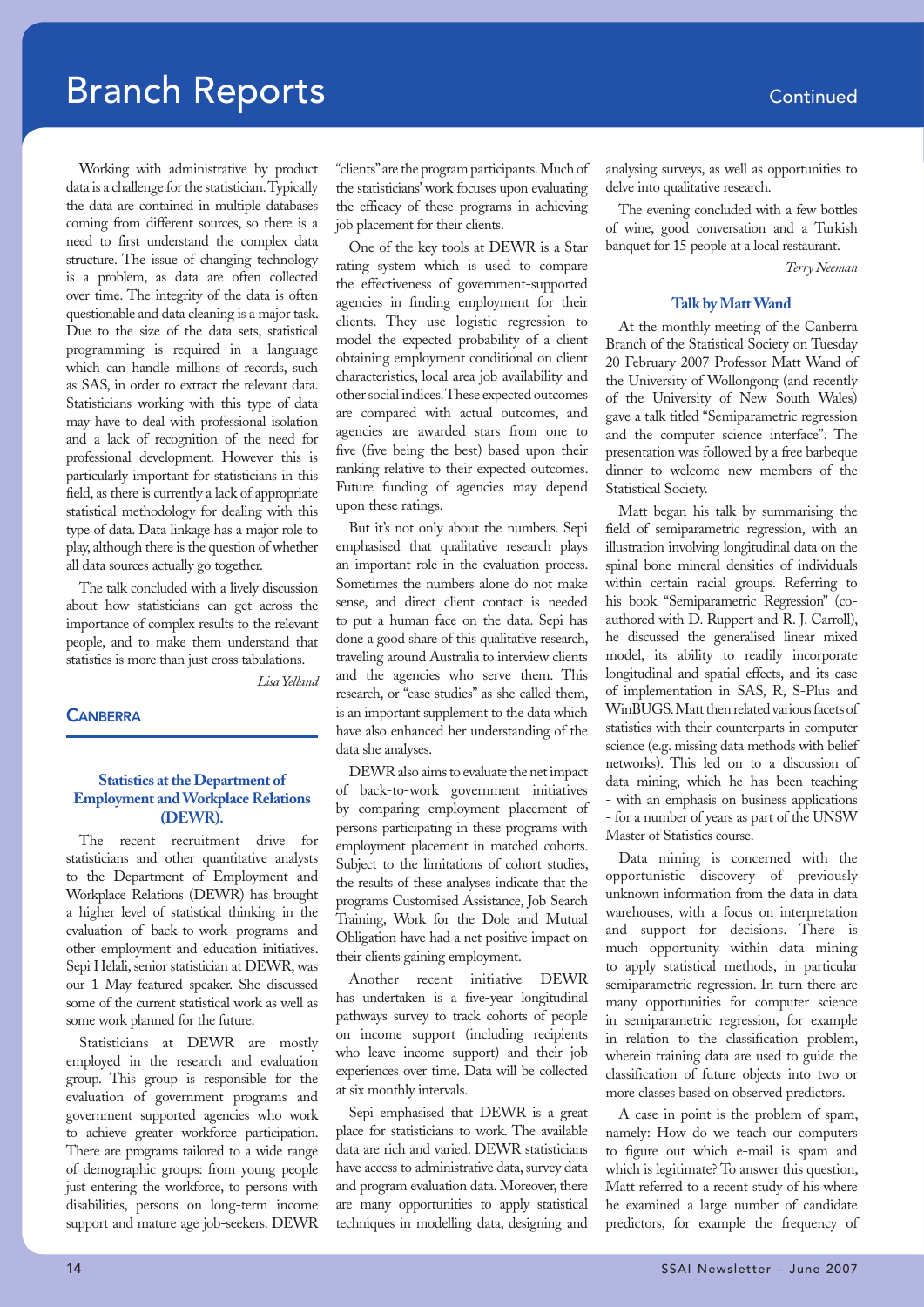## **Branch Reports Continued**

Working with administrative by product data is a challenge for the statistician. Typically the data are contained in multiple databases coming from different sources, so there is a need to first understand the complex data structure. The issue of changing technology is a problem, as data are often collected over time. The integrity of the data is often questionable and data cleaning is a major task. Due to the size of the data sets, statistical programming is required in a language which can handle millions of records, such as SAS, in order to extract the relevant data. Statisticians working with this type of data may have to deal with professional isolation and a lack of recognition of the need for professional development. However this is particularly important for statisticians in this field, as there is currently a lack of appropriate statistical methodology for dealing with this type of data. Data linkage has a major role to play, although there is the question of whether all data sources actually go together.

The talk concluded with a lively discussion about how statisticians can get across the importance of complex results to the relevant people, and to make them understand that statistics is more than just cross tabulations.

*Lisa Yelland*

#### **CANRERRA**

#### **Statistics at the Department of Employment and Workplace Relations (DEWR).**

The recent recruitment drive for statisticians and other quantitative analysts to the Department of Employment and Workplace Relations (DEWR) has brought a higher level of statistical thinking in the evaluation of back-to-work programs and other employment and education initiatives. Sepi Helali, senior statistician at DEWR, was our 1 May featured speaker. She discussed some of the current statistical work as well as some work planned for the future.

Statisticians at DEWR are mostly employed in the research and evaluation group. This group is responsible for the evaluation of government programs and government supported agencies who work to achieve greater workforce participation. There are programs tailored to a wide range of demographic groups: from young people just entering the workforce, to persons with disabilities, persons on long-term income support and mature age job-seekers. DEWR

"clients" are the program participants. Much of the statisticians' work focuses upon evaluating the efficacy of these programs in achieving job placement for their clients.

One of the key tools at DEWR is a Star rating system which is used to compare the effectiveness of government-supported agencies in finding employment for their clients. They use logistic regression to model the expected probability of a client obtaining employment conditional on client characteristics, local area job availability and other social indices. These expected outcomes are compared with actual outcomes, and agencies are awarded stars from one to five (five being the best) based upon their ranking relative to their expected outcomes. Future funding of agencies may depend upon these ratings.

But it's not only about the numbers. Sepi emphasised that qualitative research plays an important role in the evaluation process. Sometimes the numbers alone do not make sense, and direct client contact is needed to put a human face on the data. Sepi has done a good share of this qualitative research, traveling around Australia to interview clients and the agencies who serve them. This research, or "case studies" as she called them, is an important supplement to the data which have also enhanced her understanding of the data she analyses.

DEWR also aims to evaluate the net impact of back-to-work government initiatives by comparing employment placement of persons participating in these programs with employment placement in matched cohorts. Subject to the limitations of cohort studies, the results of these analyses indicate that the programs Customised Assistance, Job Search Training, Work for the Dole and Mutual Obligation have had a net positive impact on their clients gaining employment.

Another recent initiative DEWR has undertaken is a five-year longitudinal pathways survey to track cohorts of people on income support (including recipients who leave income support) and their job experiences over time. Data will be collected at six monthly intervals.

Sepi emphasised that DEWR is a great place for statisticians to work. The available data are rich and varied. DEWR statisticians have access to administrative data, survey data and program evaluation data. Moreover, there are many opportunities to apply statistical techniques in modelling data, designing and

analysing surveys, as well as opportunities to delve into qualitative research.

The evening concluded with a few bottles of wine, good conversation and a Turkish banquet for 15 people at a local restaurant.

*Terry Neeman*

#### **Talk by Matt Wand**

At the monthly meeting of the Canberra Branch of the Statistical Society on Tuesday 20 February 2007 Professor Matt Wand of the University of Wollongong (and recently of the University of New South Wales) gave a talk titled "Semiparametric regression and the computer science interface". The presentation was followed by a free barbeque dinner to welcome new members of the Statistical Society.

Matt began his talk by summarising the field of semiparametric regression, with an illustration involving longitudinal data on the spinal bone mineral densities of individuals within certain racial groups. Referring to his book "Semiparametric Regression" (coauthored with D. Ruppert and R. J. Carroll), he discussed the generalised linear mixed model, its ability to readily incorporate longitudinal and spatial effects, and its ease of implementation in SAS, R, S-Plus and WinBUGS. Matt then related various facets of statistics with their counterparts in computer science (e.g. missing data methods with belief networks). This led on to a discussion of data mining, which he has been teaching - with an emphasis on business applications - for a number of years as part of the UNSW Master of Statistics course.

Data mining is concerned with the opportunistic discovery of previously unknown information from the data in data warehouses, with a focus on interpretation and support for decisions. There is much opportunity within data mining to apply statistical methods, in particular semiparametric regression. In turn there are many opportunities for computer science in semiparametric regression, for example in relation to the classification problem, wherein training data are used to guide the classification of future objects into two or more classes based on observed predictors.

A case in point is the problem of spam, namely: How do we teach our computers to figure out which e-mail is spam and which is legitimate? To answer this question, Matt referred to a recent study of his where he examined a large number of candidate predictors, for example the frequency of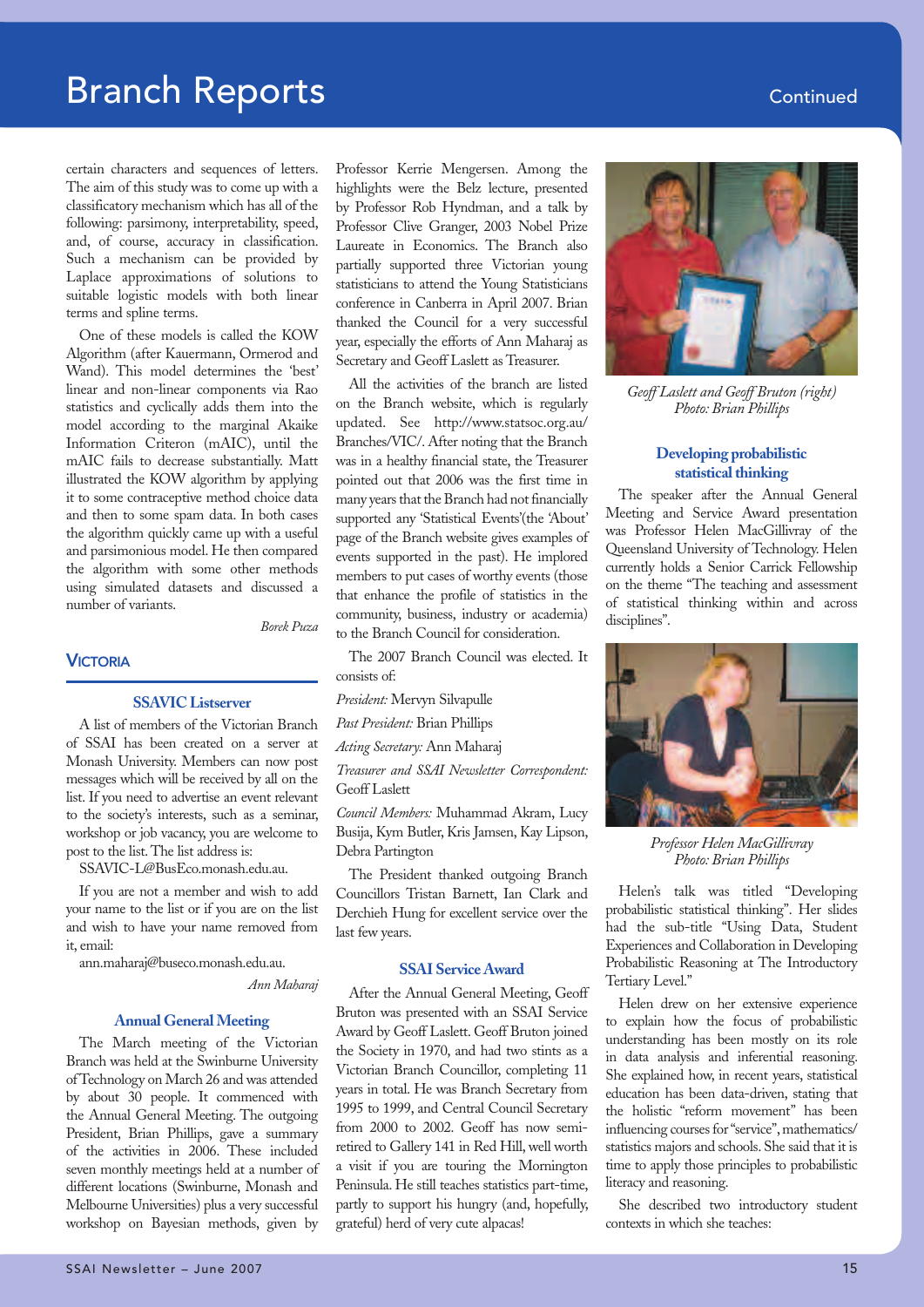## **Branch Reports Continued**

certain characters and sequences of letters. The aim of this study was to come up with a classificatory mechanism which has all of the following: parsimony, interpretability, speed, and, of course, accuracy in classification. Such a mechanism can be provided by Laplace approximations of solutions to suitable logistic models with both linear terms and spline terms.

One of these models is called the KOW Algorithm (after Kauermann, Ormerod and Wand). This model determines the 'best' linear and non-linear components via Rao statistics and cyclically adds them into the model according to the marginal Akaike Information Criteron (mAIC), until the mAIC fails to decrease substantially. Matt illustrated the KOW algorithm by applying it to some contraceptive method choice data and then to some spam data. In both cases the algorithm quickly came up with a useful and parsimonious model. He then compared the algorithm with some other methods using simulated datasets and discussed a number of variants.

*Borek Puza* 

#### **VICTORIA**

#### **SSAVIC Listserver**

A list of members of the Victorian Branch of SSAI has been created on a server at Monash University. Members can now post messages which will be received by all on the list. If you need to advertise an event relevant to the society's interests, such as a seminar, workshop or job vacancy, you are welcome to post to the list. The list address is:

SSAVIC-L@BusEco.monash.edu.au.

If you are not a member and wish to add your name to the list or if you are on the list and wish to have your name removed from it, email:

ann.maharaj@buseco.monash.edu.au.

*Ann Maharaj*

#### **Annual General Meeting**

The March meeting of the Victorian Branch was held at the Swinburne University of Technology on March 26 and was attended by about 30 people. It commenced with the Annual General Meeting. The outgoing President, Brian Phillips, gave a summary of the activities in 2006. These included seven monthly meetings held at a number of different locations (Swinburne, Monash and Melbourne Universities) plus a very successful workshop on Bayesian methods, given by

Professor Kerrie Mengersen. Among the highlights were the Belz lecture, presented by Professor Rob Hyndman, and a talk by Professor Clive Granger, 2003 Nobel Prize Laureate in Economics. The Branch also partially supported three Victorian young statisticians to attend the Young Statisticians conference in Canberra in April 2007. Brian thanked the Council for a very successful year, especially the efforts of Ann Maharaj as Secretary and Geoff Laslett as Treasurer.

All the activities of the branch are listed on the Branch website, which is regularly updated. See http://www.statsoc.org.au/ Branches/VIC/. After noting that the Branch was in a healthy financial state, the Treasurer pointed out that 2006 was the first time in many years that the Branch had not financially supported any 'Statistical Events'(the 'About' page of the Branch website gives examples of events supported in the past). He implored members to put cases of worthy events (those that enhance the profile of statistics in the community, business, industry or academia) to the Branch Council for consideration.

The 2007 Branch Council was elected. It consists of:

*President:* Mervyn Silvapulle

*Past President:* Brian Phillips

*Acting Secretary:* Ann Maharaj

*Treasurer and SSAI Newsletter Correspondent:* Geoff Laslett

*Council Members:* Muhammad Akram, Lucy Busija, Kym Butler, Kris Jamsen, Kay Lipson, Debra Partington

The President thanked outgoing Branch Councillors Tristan Barnett, Ian Clark and Derchieh Hung for excellent service over the last few years.

#### **SSAI Service Award**

After the Annual General Meeting, Geoff Bruton was presented with an SSAI Service Award by Geoff Laslett. Geoff Bruton joined the Society in 1970, and had two stints as a Victorian Branch Councillor, completing 11 years in total. He was Branch Secretary from 1995 to 1999, and Central Council Secretary from 2000 to 2002. Geoff has now semiretired to Gallery 141 in Red Hill, well worth a visit if you are touring the Mornington Peninsula. He still teaches statistics part-time, partly to support his hungry (and, hopefully, grateful) herd of very cute alpacas!



*Geoff Laslett and Geoff Bruton (right) Photo: Brian Phillips*

#### **Developing probabilistic statistical thinking**

The speaker after the Annual General Meeting and Service Award presentation was Professor Helen MacGillivray of the Queensland University of Technology. Helen currently holds a Senior Carrick Fellowship on the theme "The teaching and assessment of statistical thinking within and across disciplines".



*Professor Helen MacGillivray Photo: Brian Phillips*

Helen's talk was titled "Developing probabilistic statistical thinking". Her slides had the sub-title "Using Data, Student Experiences and Collaboration in Developing Probabilistic Reasoning at The Introductory Tertiary Level."

Helen drew on her extensive experience to explain how the focus of probabilistic understanding has been mostly on its role in data analysis and inferential reasoning. She explained how, in recent years, statistical education has been data-driven, stating that the holistic "reform movement" has been influencing courses for "service", mathematics/ statistics majors and schools. She said that it is time to apply those principles to probabilistic literacy and reasoning.

She described two introductory student contexts in which she teaches: